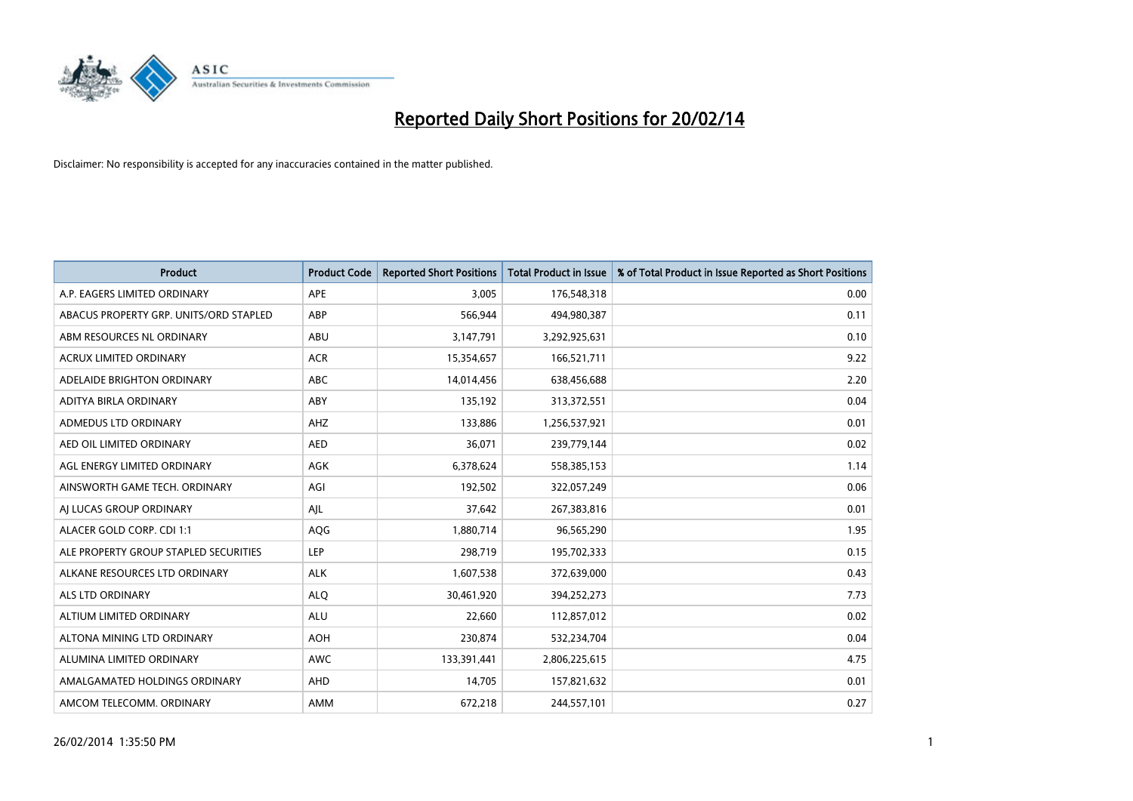

| <b>Product</b>                         | <b>Product Code</b> | <b>Reported Short Positions</b> | <b>Total Product in Issue</b> | % of Total Product in Issue Reported as Short Positions |
|----------------------------------------|---------------------|---------------------------------|-------------------------------|---------------------------------------------------------|
| A.P. EAGERS LIMITED ORDINARY           | APE                 | 3,005                           | 176,548,318                   | 0.00                                                    |
| ABACUS PROPERTY GRP. UNITS/ORD STAPLED | ABP                 | 566,944                         | 494,980,387                   | 0.11                                                    |
| ABM RESOURCES NL ORDINARY              | ABU                 | 3,147,791                       | 3,292,925,631                 | 0.10                                                    |
| ACRUX LIMITED ORDINARY                 | <b>ACR</b>          | 15,354,657                      | 166,521,711                   | 9.22                                                    |
| ADELAIDE BRIGHTON ORDINARY             | <b>ABC</b>          | 14,014,456                      | 638,456,688                   | 2.20                                                    |
| ADITYA BIRLA ORDINARY                  | ABY                 | 135,192                         | 313,372,551                   | 0.04                                                    |
| ADMEDUS LTD ORDINARY                   | AHZ                 | 133,886                         | 1,256,537,921                 | 0.01                                                    |
| AED OIL LIMITED ORDINARY               | <b>AED</b>          | 36,071                          | 239,779,144                   | 0.02                                                    |
| AGL ENERGY LIMITED ORDINARY            | AGK                 | 6,378,624                       | 558,385,153                   | 1.14                                                    |
| AINSWORTH GAME TECH. ORDINARY          | AGI                 | 192,502                         | 322,057,249                   | 0.06                                                    |
| AJ LUCAS GROUP ORDINARY                | AJL                 | 37,642                          | 267,383,816                   | 0.01                                                    |
| ALACER GOLD CORP. CDI 1:1              | AQG                 | 1,880,714                       | 96,565,290                    | 1.95                                                    |
| ALE PROPERTY GROUP STAPLED SECURITIES  | <b>LEP</b>          | 298,719                         | 195,702,333                   | 0.15                                                    |
| ALKANE RESOURCES LTD ORDINARY          | <b>ALK</b>          | 1,607,538                       | 372,639,000                   | 0.43                                                    |
| ALS LTD ORDINARY                       | <b>ALQ</b>          | 30,461,920                      | 394,252,273                   | 7.73                                                    |
| ALTIUM LIMITED ORDINARY                | <b>ALU</b>          | 22,660                          | 112,857,012                   | 0.02                                                    |
| ALTONA MINING LTD ORDINARY             | <b>AOH</b>          | 230,874                         | 532,234,704                   | 0.04                                                    |
| ALUMINA LIMITED ORDINARY               | <b>AWC</b>          | 133,391,441                     | 2,806,225,615                 | 4.75                                                    |
| AMALGAMATED HOLDINGS ORDINARY          | AHD                 | 14,705                          | 157,821,632                   | 0.01                                                    |
| AMCOM TELECOMM, ORDINARY               | AMM                 | 672,218                         | 244,557,101                   | 0.27                                                    |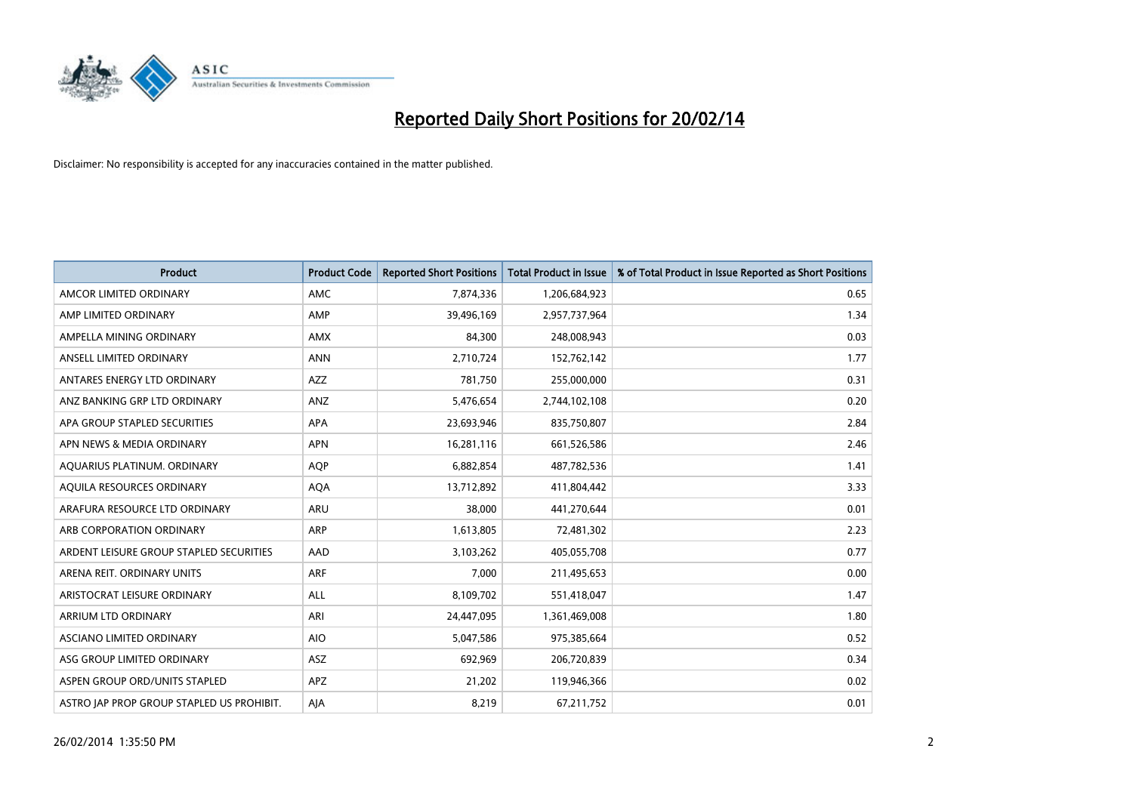

| <b>Product</b>                            | <b>Product Code</b> | <b>Reported Short Positions</b> | <b>Total Product in Issue</b> | % of Total Product in Issue Reported as Short Positions |
|-------------------------------------------|---------------------|---------------------------------|-------------------------------|---------------------------------------------------------|
| AMCOR LIMITED ORDINARY                    | AMC                 | 7,874,336                       | 1,206,684,923                 | 0.65                                                    |
| AMP LIMITED ORDINARY                      | AMP                 | 39,496,169                      | 2,957,737,964                 | 1.34                                                    |
| AMPELLA MINING ORDINARY                   | <b>AMX</b>          | 84,300                          | 248,008,943                   | 0.03                                                    |
| ANSELL LIMITED ORDINARY                   | <b>ANN</b>          | 2,710,724                       | 152,762,142                   | 1.77                                                    |
| ANTARES ENERGY LTD ORDINARY               | AZZ                 | 781,750                         | 255,000,000                   | 0.31                                                    |
| ANZ BANKING GRP LTD ORDINARY              | ANZ                 | 5,476,654                       | 2,744,102,108                 | 0.20                                                    |
| APA GROUP STAPLED SECURITIES              | APA                 | 23,693,946                      | 835,750,807                   | 2.84                                                    |
| APN NEWS & MEDIA ORDINARY                 | <b>APN</b>          | 16,281,116                      | 661,526,586                   | 2.46                                                    |
| AQUARIUS PLATINUM. ORDINARY               | <b>AOP</b>          | 6,882,854                       | 487,782,536                   | 1.41                                                    |
| AQUILA RESOURCES ORDINARY                 | <b>AQA</b>          | 13,712,892                      | 411,804,442                   | 3.33                                                    |
| ARAFURA RESOURCE LTD ORDINARY             | ARU                 | 38,000                          | 441,270,644                   | 0.01                                                    |
| ARB CORPORATION ORDINARY                  | ARP                 | 1,613,805                       | 72,481,302                    | 2.23                                                    |
| ARDENT LEISURE GROUP STAPLED SECURITIES   | AAD                 | 3,103,262                       | 405,055,708                   | 0.77                                                    |
| ARENA REIT. ORDINARY UNITS                | <b>ARF</b>          | 7,000                           | 211,495,653                   | 0.00                                                    |
| ARISTOCRAT LEISURE ORDINARY               | ALL                 | 8,109,702                       | 551,418,047                   | 1.47                                                    |
| ARRIUM LTD ORDINARY                       | ARI                 | 24,447,095                      | 1,361,469,008                 | 1.80                                                    |
| ASCIANO LIMITED ORDINARY                  | <b>AIO</b>          | 5,047,586                       | 975,385,664                   | 0.52                                                    |
| ASG GROUP LIMITED ORDINARY                | ASZ                 | 692,969                         | 206,720,839                   | 0.34                                                    |
| ASPEN GROUP ORD/UNITS STAPLED             | APZ                 | 21,202                          | 119,946,366                   | 0.02                                                    |
| ASTRO JAP PROP GROUP STAPLED US PROHIBIT. | AJA                 | 8,219                           | 67,211,752                    | 0.01                                                    |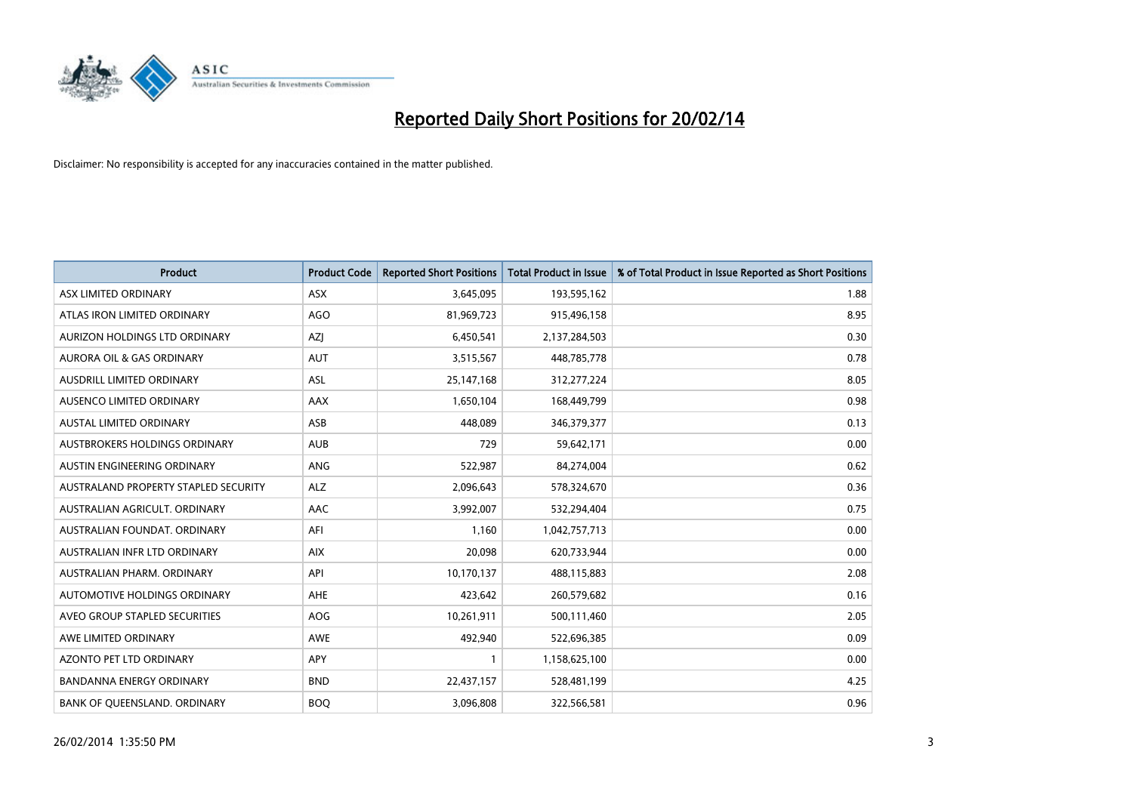

| <b>Product</b>                       | <b>Product Code</b> | <b>Reported Short Positions</b> | <b>Total Product in Issue</b> | % of Total Product in Issue Reported as Short Positions |
|--------------------------------------|---------------------|---------------------------------|-------------------------------|---------------------------------------------------------|
| ASX LIMITED ORDINARY                 | <b>ASX</b>          | 3,645,095                       | 193,595,162                   | 1.88                                                    |
| ATLAS IRON LIMITED ORDINARY          | <b>AGO</b>          | 81,969,723                      | 915,496,158                   | 8.95                                                    |
| AURIZON HOLDINGS LTD ORDINARY        | AZJ                 | 6,450,541                       | 2,137,284,503                 | 0.30                                                    |
| AURORA OIL & GAS ORDINARY            | <b>AUT</b>          | 3,515,567                       | 448,785,778                   | 0.78                                                    |
| <b>AUSDRILL LIMITED ORDINARY</b>     | ASL                 | 25,147,168                      | 312,277,224                   | 8.05                                                    |
| <b>AUSENCO LIMITED ORDINARY</b>      | <b>AAX</b>          | 1,650,104                       | 168,449,799                   | 0.98                                                    |
| <b>AUSTAL LIMITED ORDINARY</b>       | ASB                 | 448,089                         | 346, 379, 377                 | 0.13                                                    |
| <b>AUSTBROKERS HOLDINGS ORDINARY</b> | <b>AUB</b>          | 729                             | 59,642,171                    | 0.00                                                    |
| AUSTIN ENGINEERING ORDINARY          | ANG                 | 522,987                         | 84,274,004                    | 0.62                                                    |
| AUSTRALAND PROPERTY STAPLED SECURITY | <b>ALZ</b>          | 2,096,643                       | 578,324,670                   | 0.36                                                    |
| AUSTRALIAN AGRICULT, ORDINARY        | AAC                 | 3,992,007                       | 532,294,404                   | 0.75                                                    |
| AUSTRALIAN FOUNDAT, ORDINARY         | AFI                 | 1,160                           | 1,042,757,713                 | 0.00                                                    |
| AUSTRALIAN INFR LTD ORDINARY         | <b>AIX</b>          | 20,098                          | 620,733,944                   | 0.00                                                    |
| AUSTRALIAN PHARM, ORDINARY           | API                 | 10,170,137                      | 488,115,883                   | 2.08                                                    |
| <b>AUTOMOTIVE HOLDINGS ORDINARY</b>  | <b>AHE</b>          | 423,642                         | 260,579,682                   | 0.16                                                    |
| AVEO GROUP STAPLED SECURITIES        | <b>AOG</b>          | 10,261,911                      | 500,111,460                   | 2.05                                                    |
| AWE LIMITED ORDINARY                 | AWE                 | 492,940                         | 522,696,385                   | 0.09                                                    |
| AZONTO PET LTD ORDINARY              | <b>APY</b>          | 1                               | 1,158,625,100                 | 0.00                                                    |
| <b>BANDANNA ENERGY ORDINARY</b>      | <b>BND</b>          | 22,437,157                      | 528,481,199                   | 4.25                                                    |
| BANK OF QUEENSLAND. ORDINARY         | <b>BOQ</b>          | 3,096,808                       | 322,566,581                   | 0.96                                                    |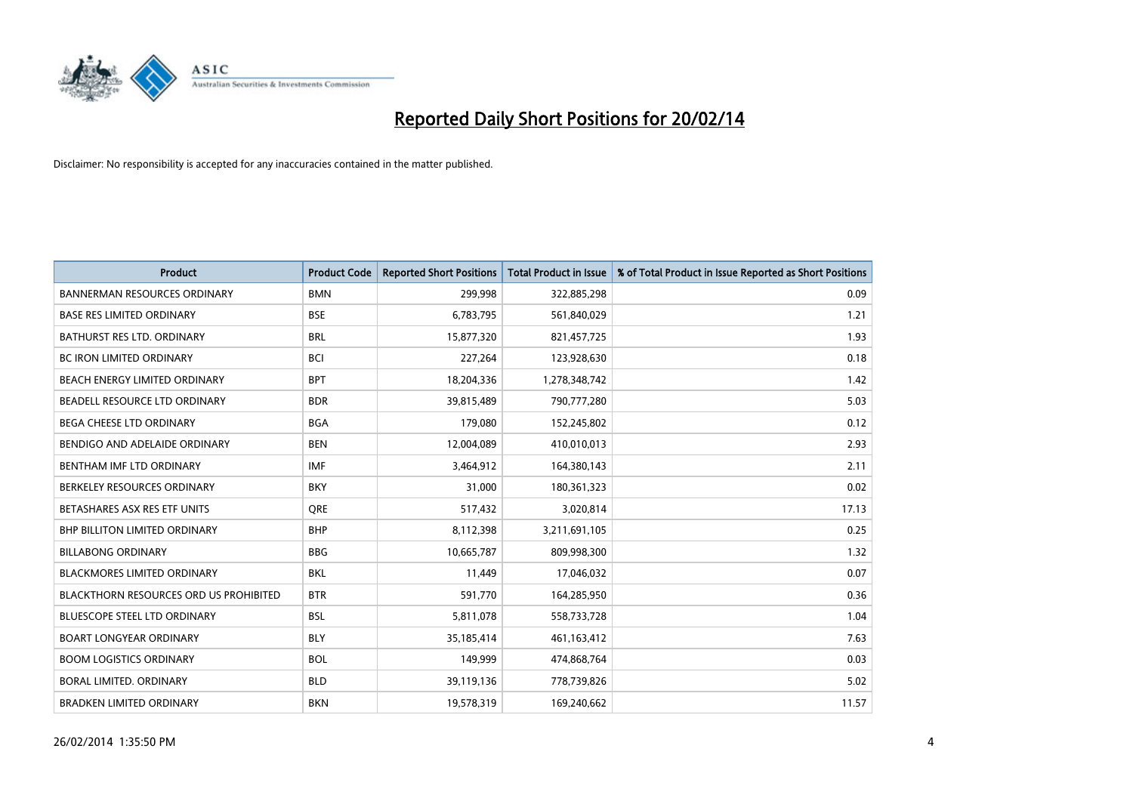

| <b>Product</b>                                | <b>Product Code</b> | <b>Reported Short Positions</b> | <b>Total Product in Issue</b> | % of Total Product in Issue Reported as Short Positions |
|-----------------------------------------------|---------------------|---------------------------------|-------------------------------|---------------------------------------------------------|
| <b>BANNERMAN RESOURCES ORDINARY</b>           | <b>BMN</b>          | 299,998                         | 322,885,298                   | 0.09                                                    |
| BASE RES LIMITED ORDINARY                     | <b>BSE</b>          | 6,783,795                       | 561,840,029                   | 1.21                                                    |
| <b>BATHURST RES LTD. ORDINARY</b>             | <b>BRL</b>          | 15,877,320                      | 821,457,725                   | 1.93                                                    |
| <b>BC IRON LIMITED ORDINARY</b>               | <b>BCI</b>          | 227,264                         | 123,928,630                   | 0.18                                                    |
| BEACH ENERGY LIMITED ORDINARY                 | <b>BPT</b>          | 18,204,336                      | 1,278,348,742                 | 1.42                                                    |
| BEADELL RESOURCE LTD ORDINARY                 | <b>BDR</b>          | 39,815,489                      | 790,777,280                   | 5.03                                                    |
| <b>BEGA CHEESE LTD ORDINARY</b>               | <b>BGA</b>          | 179,080                         | 152,245,802                   | 0.12                                                    |
| BENDIGO AND ADELAIDE ORDINARY                 | <b>BEN</b>          | 12,004,089                      | 410,010,013                   | 2.93                                                    |
| BENTHAM IMF LTD ORDINARY                      | <b>IMF</b>          | 3,464,912                       | 164,380,143                   | 2.11                                                    |
| BERKELEY RESOURCES ORDINARY                   | <b>BKY</b>          | 31,000                          | 180,361,323                   | 0.02                                                    |
| BETASHARES ASX RES ETF UNITS                  | <b>ORE</b>          | 517,432                         | 3,020,814                     | 17.13                                                   |
| BHP BILLITON LIMITED ORDINARY                 | <b>BHP</b>          | 8,112,398                       | 3,211,691,105                 | 0.25                                                    |
| <b>BILLABONG ORDINARY</b>                     | <b>BBG</b>          | 10,665,787                      | 809,998,300                   | 1.32                                                    |
| <b>BLACKMORES LIMITED ORDINARY</b>            | <b>BKL</b>          | 11,449                          | 17,046,032                    | 0.07                                                    |
| <b>BLACKTHORN RESOURCES ORD US PROHIBITED</b> | <b>BTR</b>          | 591,770                         | 164,285,950                   | 0.36                                                    |
| BLUESCOPE STEEL LTD ORDINARY                  | <b>BSL</b>          | 5,811,078                       | 558,733,728                   | 1.04                                                    |
| <b>BOART LONGYEAR ORDINARY</b>                | <b>BLY</b>          | 35,185,414                      | 461,163,412                   | 7.63                                                    |
| <b>BOOM LOGISTICS ORDINARY</b>                | <b>BOL</b>          | 149,999                         | 474,868,764                   | 0.03                                                    |
| <b>BORAL LIMITED, ORDINARY</b>                | <b>BLD</b>          | 39,119,136                      | 778,739,826                   | 5.02                                                    |
| <b>BRADKEN LIMITED ORDINARY</b>               | <b>BKN</b>          | 19,578,319                      | 169,240,662                   | 11.57                                                   |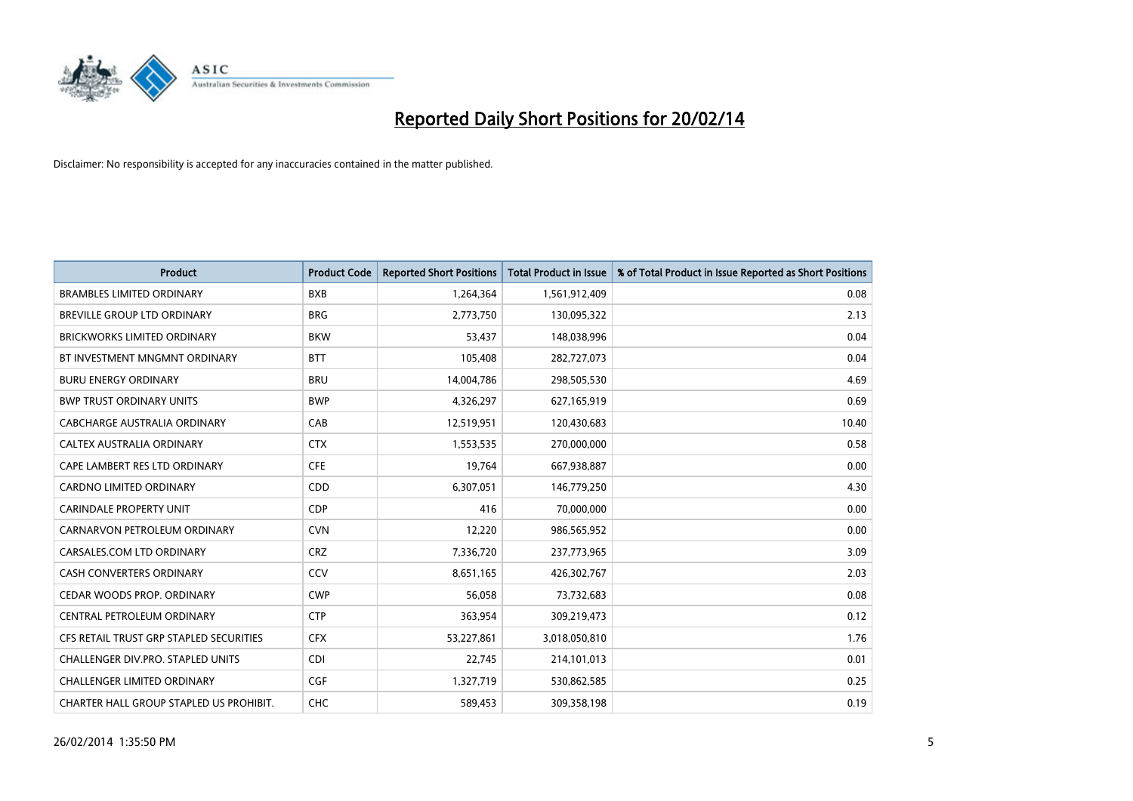

| <b>Product</b>                          | <b>Product Code</b> | <b>Reported Short Positions</b> | <b>Total Product in Issue</b> | % of Total Product in Issue Reported as Short Positions |
|-----------------------------------------|---------------------|---------------------------------|-------------------------------|---------------------------------------------------------|
| <b>BRAMBLES LIMITED ORDINARY</b>        | <b>BXB</b>          | 1,264,364                       | 1,561,912,409                 | 0.08                                                    |
| BREVILLE GROUP LTD ORDINARY             | <b>BRG</b>          | 2,773,750                       | 130,095,322                   | 2.13                                                    |
| <b>BRICKWORKS LIMITED ORDINARY</b>      | <b>BKW</b>          | 53,437                          | 148,038,996                   | 0.04                                                    |
| BT INVESTMENT MNGMNT ORDINARY           | <b>BTT</b>          | 105,408                         | 282,727,073                   | 0.04                                                    |
| <b>BURU ENERGY ORDINARY</b>             | <b>BRU</b>          | 14,004,786                      | 298,505,530                   | 4.69                                                    |
| <b>BWP TRUST ORDINARY UNITS</b>         | <b>BWP</b>          | 4,326,297                       | 627,165,919                   | 0.69                                                    |
| CABCHARGE AUSTRALIA ORDINARY            | CAB                 | 12,519,951                      | 120,430,683                   | 10.40                                                   |
| CALTEX AUSTRALIA ORDINARY               | <b>CTX</b>          | 1,553,535                       | 270,000,000                   | 0.58                                                    |
| CAPE LAMBERT RES LTD ORDINARY           | <b>CFE</b>          | 19,764                          | 667,938,887                   | 0.00                                                    |
| <b>CARDNO LIMITED ORDINARY</b>          | CDD                 | 6,307,051                       | 146,779,250                   | 4.30                                                    |
| <b>CARINDALE PROPERTY UNIT</b>          | <b>CDP</b>          | 416                             | 70,000,000                    | 0.00                                                    |
| CARNARVON PETROLEUM ORDINARY            | <b>CVN</b>          | 12,220                          | 986,565,952                   | 0.00                                                    |
| CARSALES.COM LTD ORDINARY               | <b>CRZ</b>          | 7,336,720                       | 237,773,965                   | 3.09                                                    |
| <b>CASH CONVERTERS ORDINARY</b>         | CCV                 | 8,651,165                       | 426,302,767                   | 2.03                                                    |
| CEDAR WOODS PROP. ORDINARY              | <b>CWP</b>          | 56,058                          | 73,732,683                    | 0.08                                                    |
| CENTRAL PETROLEUM ORDINARY              | <b>CTP</b>          | 363,954                         | 309,219,473                   | 0.12                                                    |
| CFS RETAIL TRUST GRP STAPLED SECURITIES | <b>CFX</b>          | 53,227,861                      | 3,018,050,810                 | 1.76                                                    |
| CHALLENGER DIV.PRO. STAPLED UNITS       | <b>CDI</b>          | 22,745                          | 214,101,013                   | 0.01                                                    |
| <b>CHALLENGER LIMITED ORDINARY</b>      | <b>CGF</b>          | 1,327,719                       | 530,862,585                   | 0.25                                                    |
| CHARTER HALL GROUP STAPLED US PROHIBIT. | <b>CHC</b>          | 589,453                         | 309,358,198                   | 0.19                                                    |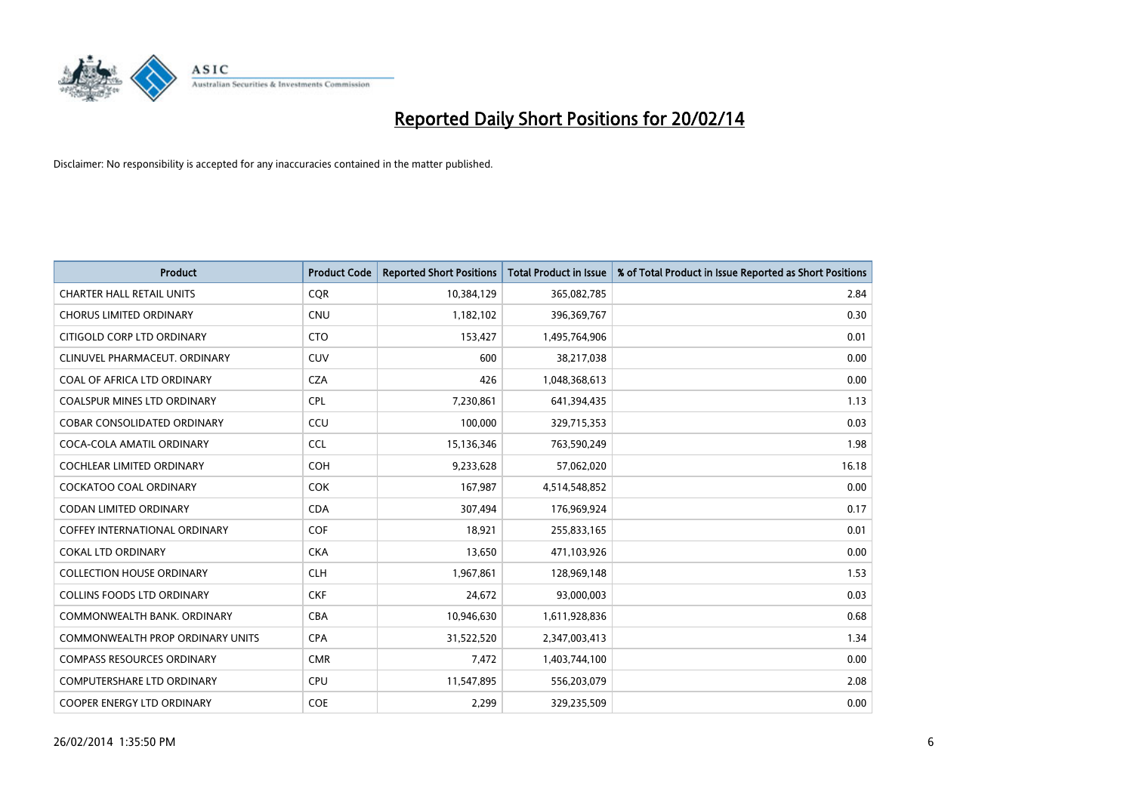

| <b>Product</b>                       | <b>Product Code</b> | <b>Reported Short Positions</b> | <b>Total Product in Issue</b> | % of Total Product in Issue Reported as Short Positions |
|--------------------------------------|---------------------|---------------------------------|-------------------------------|---------------------------------------------------------|
| <b>CHARTER HALL RETAIL UNITS</b>     | <b>COR</b>          | 10,384,129                      | 365,082,785                   | 2.84                                                    |
| <b>CHORUS LIMITED ORDINARY</b>       | <b>CNU</b>          | 1,182,102                       | 396,369,767                   | 0.30                                                    |
| CITIGOLD CORP LTD ORDINARY           | <b>CTO</b>          | 153,427                         | 1,495,764,906                 | 0.01                                                    |
| CLINUVEL PHARMACEUT. ORDINARY        | CUV                 | 600                             | 38,217,038                    | 0.00                                                    |
| COAL OF AFRICA LTD ORDINARY          | <b>CZA</b>          | 426                             | 1,048,368,613                 | 0.00                                                    |
| COALSPUR MINES LTD ORDINARY          | <b>CPL</b>          | 7,230,861                       | 641,394,435                   | 1.13                                                    |
| COBAR CONSOLIDATED ORDINARY          | CCU                 | 100,000                         | 329,715,353                   | 0.03                                                    |
| COCA-COLA AMATIL ORDINARY            | <b>CCL</b>          | 15,136,346                      | 763,590,249                   | 1.98                                                    |
| <b>COCHLEAR LIMITED ORDINARY</b>     | COH                 | 9,233,628                       | 57,062,020                    | 16.18                                                   |
| <b>COCKATOO COAL ORDINARY</b>        | <b>COK</b>          | 167,987                         | 4,514,548,852                 | 0.00                                                    |
| CODAN LIMITED ORDINARY               | <b>CDA</b>          | 307,494                         | 176,969,924                   | 0.17                                                    |
| <b>COFFEY INTERNATIONAL ORDINARY</b> | <b>COF</b>          | 18,921                          | 255,833,165                   | 0.01                                                    |
| <b>COKAL LTD ORDINARY</b>            | <b>CKA</b>          | 13,650                          | 471,103,926                   | 0.00                                                    |
| <b>COLLECTION HOUSE ORDINARY</b>     | <b>CLH</b>          | 1,967,861                       | 128,969,148                   | 1.53                                                    |
| <b>COLLINS FOODS LTD ORDINARY</b>    | <b>CKF</b>          | 24,672                          | 93,000,003                    | 0.03                                                    |
| COMMONWEALTH BANK, ORDINARY          | <b>CBA</b>          | 10,946,630                      | 1,611,928,836                 | 0.68                                                    |
| COMMONWEALTH PROP ORDINARY UNITS     | <b>CPA</b>          | 31,522,520                      | 2,347,003,413                 | 1.34                                                    |
| <b>COMPASS RESOURCES ORDINARY</b>    | <b>CMR</b>          | 7,472                           | 1,403,744,100                 | 0.00                                                    |
| <b>COMPUTERSHARE LTD ORDINARY</b>    | <b>CPU</b>          | 11,547,895                      | 556,203,079                   | 2.08                                                    |
| COOPER ENERGY LTD ORDINARY           | <b>COE</b>          | 2,299                           | 329,235,509                   | 0.00                                                    |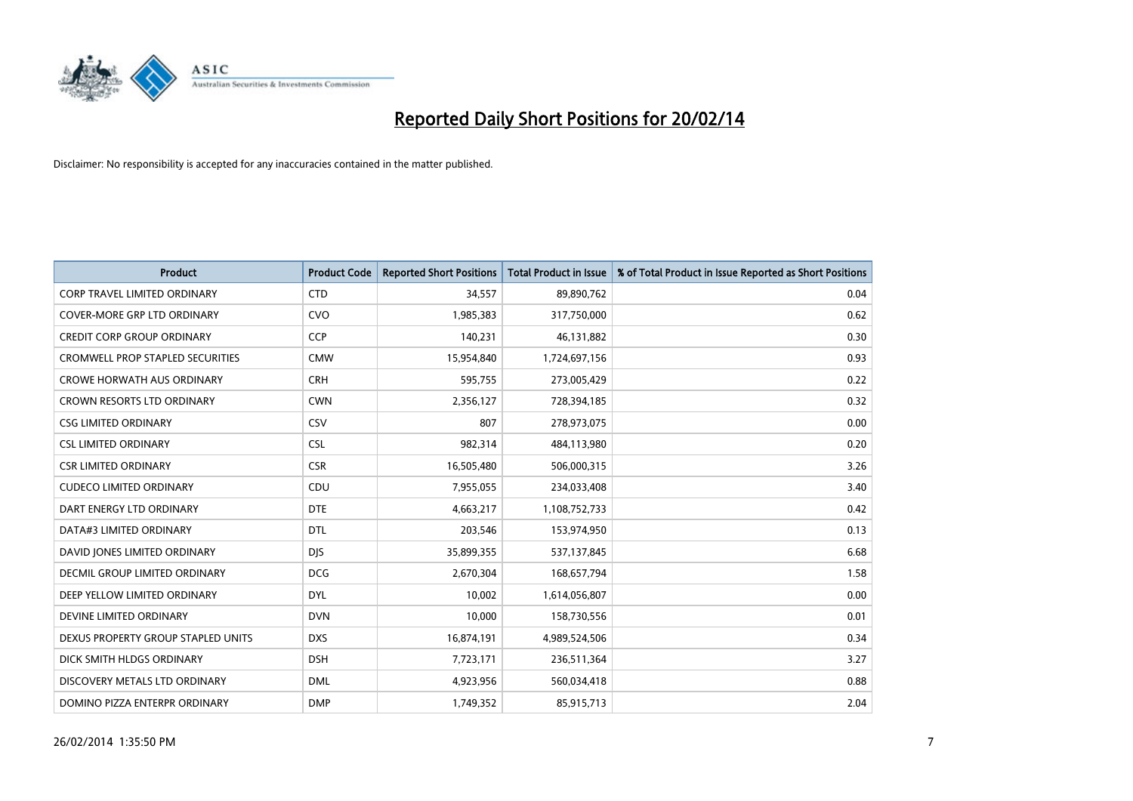

| <b>Product</b>                          | <b>Product Code</b> | <b>Reported Short Positions</b> | <b>Total Product in Issue</b> | % of Total Product in Issue Reported as Short Positions |
|-----------------------------------------|---------------------|---------------------------------|-------------------------------|---------------------------------------------------------|
| <b>CORP TRAVEL LIMITED ORDINARY</b>     | <b>CTD</b>          | 34,557                          | 89,890,762                    | 0.04                                                    |
| COVER-MORE GRP LTD ORDINARY             | <b>CVO</b>          | 1,985,383                       | 317,750,000                   | 0.62                                                    |
| <b>CREDIT CORP GROUP ORDINARY</b>       | <b>CCP</b>          | 140,231                         | 46,131,882                    | 0.30                                                    |
| <b>CROMWELL PROP STAPLED SECURITIES</b> | <b>CMW</b>          | 15,954,840                      | 1,724,697,156                 | 0.93                                                    |
| <b>CROWE HORWATH AUS ORDINARY</b>       | <b>CRH</b>          | 595,755                         | 273,005,429                   | 0.22                                                    |
| <b>CROWN RESORTS LTD ORDINARY</b>       | <b>CWN</b>          | 2,356,127                       | 728,394,185                   | 0.32                                                    |
| <b>CSG LIMITED ORDINARY</b>             | <b>CSV</b>          | 807                             | 278,973,075                   | 0.00                                                    |
| <b>CSL LIMITED ORDINARY</b>             | <b>CSL</b>          | 982,314                         | 484,113,980                   | 0.20                                                    |
| <b>CSR LIMITED ORDINARY</b>             | <b>CSR</b>          | 16,505,480                      | 506,000,315                   | 3.26                                                    |
| <b>CUDECO LIMITED ORDINARY</b>          | CDU                 | 7,955,055                       | 234,033,408                   | 3.40                                                    |
| DART ENERGY LTD ORDINARY                | <b>DTE</b>          | 4,663,217                       | 1,108,752,733                 | 0.42                                                    |
| DATA#3 LIMITED ORDINARY                 | <b>DTL</b>          | 203,546                         | 153,974,950                   | 0.13                                                    |
| DAVID JONES LIMITED ORDINARY            | <b>DIS</b>          | 35,899,355                      | 537,137,845                   | 6.68                                                    |
| <b>DECMIL GROUP LIMITED ORDINARY</b>    | <b>DCG</b>          | 2,670,304                       | 168,657,794                   | 1.58                                                    |
| DEEP YELLOW LIMITED ORDINARY            | <b>DYL</b>          | 10,002                          | 1,614,056,807                 | 0.00                                                    |
| DEVINE LIMITED ORDINARY                 | <b>DVN</b>          | 10,000                          | 158,730,556                   | 0.01                                                    |
| DEXUS PROPERTY GROUP STAPLED UNITS      | <b>DXS</b>          | 16,874,191                      | 4,989,524,506                 | 0.34                                                    |
| DICK SMITH HLDGS ORDINARY               | <b>DSH</b>          | 7,723,171                       | 236,511,364                   | 3.27                                                    |
| DISCOVERY METALS LTD ORDINARY           | <b>DML</b>          | 4,923,956                       | 560,034,418                   | 0.88                                                    |
| DOMINO PIZZA ENTERPR ORDINARY           | <b>DMP</b>          | 1,749,352                       | 85,915,713                    | 2.04                                                    |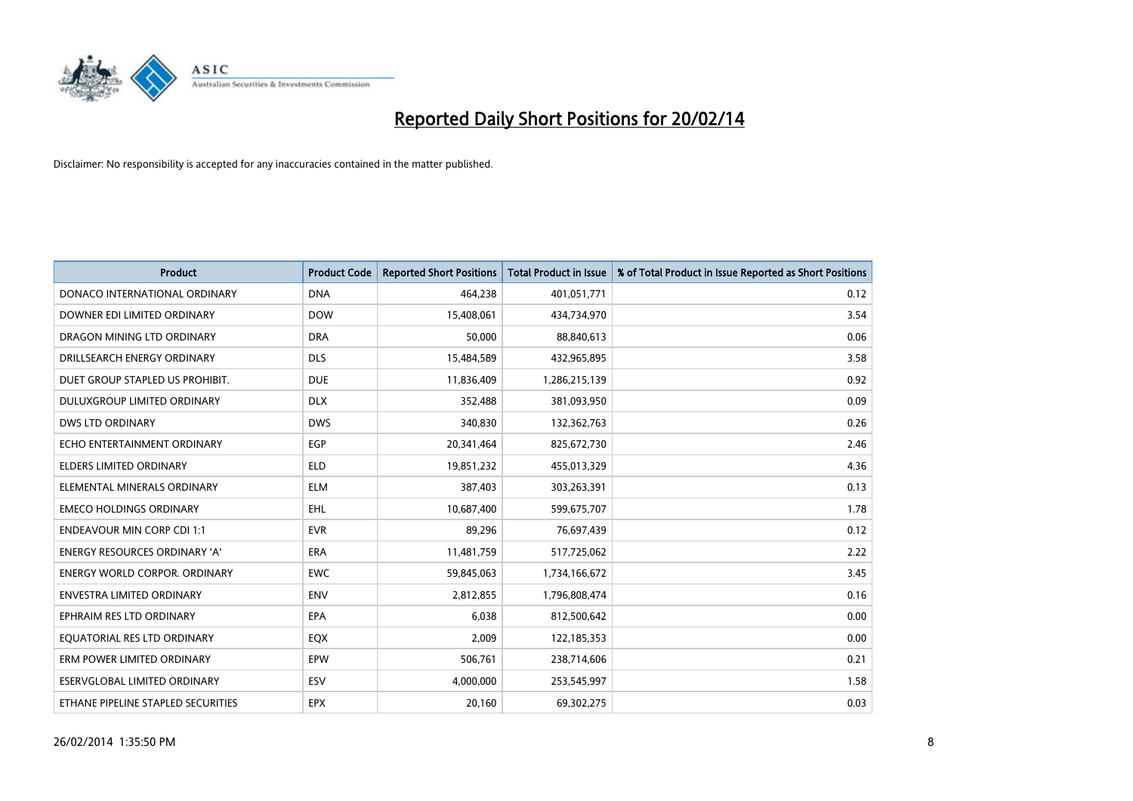

| <b>Product</b>                       | <b>Product Code</b> | <b>Reported Short Positions</b> | <b>Total Product in Issue</b> | % of Total Product in Issue Reported as Short Positions |
|--------------------------------------|---------------------|---------------------------------|-------------------------------|---------------------------------------------------------|
| DONACO INTERNATIONAL ORDINARY        | <b>DNA</b>          | 464,238                         | 401,051,771                   | 0.12                                                    |
| DOWNER EDI LIMITED ORDINARY          | <b>DOW</b>          | 15,408,061                      | 434,734,970                   | 3.54                                                    |
| DRAGON MINING LTD ORDINARY           | <b>DRA</b>          | 50,000                          | 88,840,613                    | 0.06                                                    |
| DRILLSEARCH ENERGY ORDINARY          | <b>DLS</b>          | 15,484,589                      | 432,965,895                   | 3.58                                                    |
| DUET GROUP STAPLED US PROHIBIT.      | <b>DUE</b>          | 11,836,409                      | 1,286,215,139                 | 0.92                                                    |
| DULUXGROUP LIMITED ORDINARY          | <b>DLX</b>          | 352,488                         | 381,093,950                   | 0.09                                                    |
| <b>DWS LTD ORDINARY</b>              | <b>DWS</b>          | 340,830                         | 132,362,763                   | 0.26                                                    |
| ECHO ENTERTAINMENT ORDINARY          | <b>EGP</b>          | 20,341,464                      | 825,672,730                   | 2.46                                                    |
| <b>ELDERS LIMITED ORDINARY</b>       | <b>ELD</b>          | 19,851,232                      | 455,013,329                   | 4.36                                                    |
| ELEMENTAL MINERALS ORDINARY          | <b>ELM</b>          | 387,403                         | 303,263,391                   | 0.13                                                    |
| <b>EMECO HOLDINGS ORDINARY</b>       | <b>EHL</b>          | 10,687,400                      | 599,675,707                   | 1.78                                                    |
| <b>ENDEAVOUR MIN CORP CDI 1:1</b>    | <b>EVR</b>          | 89,296                          | 76,697,439                    | 0.12                                                    |
| ENERGY RESOURCES ORDINARY 'A'        | <b>ERA</b>          | 11,481,759                      | 517,725,062                   | 2.22                                                    |
| <b>ENERGY WORLD CORPOR, ORDINARY</b> | <b>EWC</b>          | 59,845,063                      | 1,734,166,672                 | 3.45                                                    |
| <b>ENVESTRA LIMITED ORDINARY</b>     | <b>ENV</b>          | 2,812,855                       | 1,796,808,474                 | 0.16                                                    |
| EPHRAIM RES LTD ORDINARY             | EPA                 | 6,038                           | 812,500,642                   | 0.00                                                    |
| EQUATORIAL RES LTD ORDINARY          | EQX                 | 2,009                           | 122,185,353                   | 0.00                                                    |
| ERM POWER LIMITED ORDINARY           | <b>EPW</b>          | 506,761                         | 238,714,606                   | 0.21                                                    |
| ESERVGLOBAL LIMITED ORDINARY         | ESV                 | 4,000,000                       | 253,545,997                   | 1.58                                                    |
| ETHANE PIPELINE STAPLED SECURITIES   | <b>EPX</b>          | 20,160                          | 69,302,275                    | 0.03                                                    |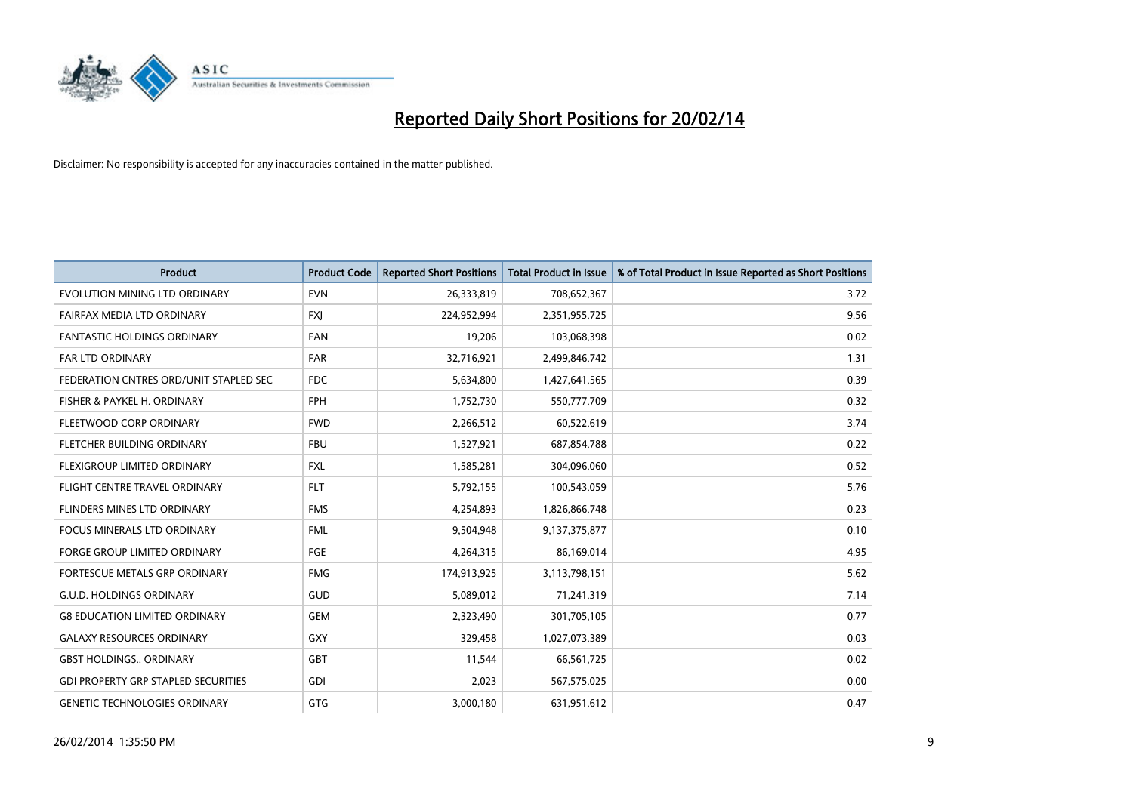

| <b>Product</b>                             | <b>Product Code</b> | <b>Reported Short Positions</b> | <b>Total Product in Issue</b> | % of Total Product in Issue Reported as Short Positions |
|--------------------------------------------|---------------------|---------------------------------|-------------------------------|---------------------------------------------------------|
| EVOLUTION MINING LTD ORDINARY              | <b>EVN</b>          | 26,333,819                      | 708,652,367                   | 3.72                                                    |
| FAIRFAX MEDIA LTD ORDINARY                 | <b>FXI</b>          | 224,952,994                     | 2,351,955,725                 | 9.56                                                    |
| <b>FANTASTIC HOLDINGS ORDINARY</b>         | <b>FAN</b>          | 19,206                          | 103,068,398                   | 0.02                                                    |
| FAR LTD ORDINARY                           | <b>FAR</b>          | 32,716,921                      | 2,499,846,742                 | 1.31                                                    |
| FEDERATION CNTRES ORD/UNIT STAPLED SEC     | <b>FDC</b>          | 5,634,800                       | 1,427,641,565                 | 0.39                                                    |
| FISHER & PAYKEL H. ORDINARY                | <b>FPH</b>          | 1,752,730                       | 550,777,709                   | 0.32                                                    |
| FLEETWOOD CORP ORDINARY                    | <b>FWD</b>          | 2,266,512                       | 60,522,619                    | 3.74                                                    |
| FLETCHER BUILDING ORDINARY                 | <b>FBU</b>          | 1,527,921                       | 687,854,788                   | 0.22                                                    |
| FLEXIGROUP LIMITED ORDINARY                | <b>FXL</b>          | 1,585,281                       | 304,096,060                   | 0.52                                                    |
| FLIGHT CENTRE TRAVEL ORDINARY              | <b>FLT</b>          | 5,792,155                       | 100,543,059                   | 5.76                                                    |
| FLINDERS MINES LTD ORDINARY                | <b>FMS</b>          | 4,254,893                       | 1,826,866,748                 | 0.23                                                    |
| <b>FOCUS MINERALS LTD ORDINARY</b>         | <b>FML</b>          | 9,504,948                       | 9,137,375,877                 | 0.10                                                    |
| FORGE GROUP LIMITED ORDINARY               | FGE                 | 4,264,315                       | 86,169,014                    | 4.95                                                    |
| FORTESCUE METALS GRP ORDINARY              | <b>FMG</b>          | 174,913,925                     | 3,113,798,151                 | 5.62                                                    |
| <b>G.U.D. HOLDINGS ORDINARY</b>            | <b>GUD</b>          | 5,089,012                       | 71,241,319                    | 7.14                                                    |
| <b>G8 EDUCATION LIMITED ORDINARY</b>       | GEM                 | 2,323,490                       | 301,705,105                   | 0.77                                                    |
| <b>GALAXY RESOURCES ORDINARY</b>           | <b>GXY</b>          | 329,458                         | 1,027,073,389                 | 0.03                                                    |
| <b>GBST HOLDINGS ORDINARY</b>              | <b>GBT</b>          | 11,544                          | 66,561,725                    | 0.02                                                    |
| <b>GDI PROPERTY GRP STAPLED SECURITIES</b> | GDI                 | 2,023                           | 567,575,025                   | 0.00                                                    |
| <b>GENETIC TECHNOLOGIES ORDINARY</b>       | <b>GTG</b>          | 3,000,180                       | 631,951,612                   | 0.47                                                    |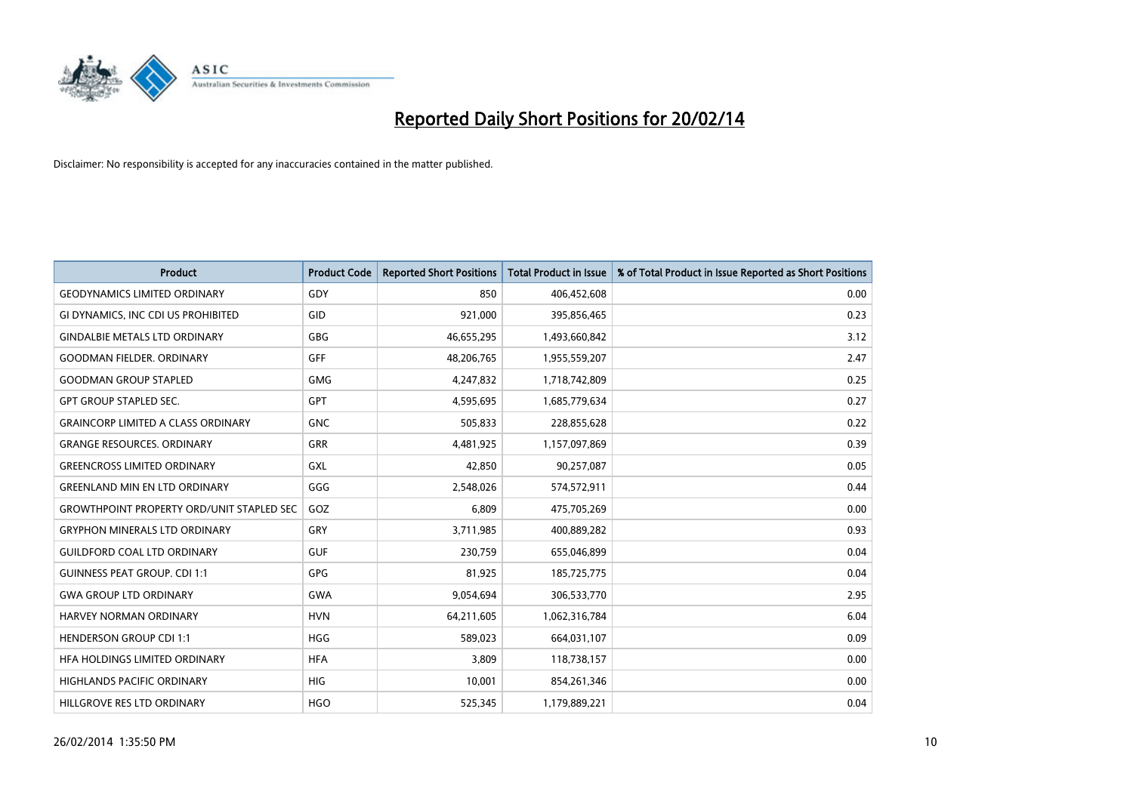

| <b>Product</b>                                   | <b>Product Code</b> | <b>Reported Short Positions</b> | <b>Total Product in Issue</b> | % of Total Product in Issue Reported as Short Positions |
|--------------------------------------------------|---------------------|---------------------------------|-------------------------------|---------------------------------------------------------|
| <b>GEODYNAMICS LIMITED ORDINARY</b>              | GDY                 | 850                             | 406,452,608                   | 0.00                                                    |
| GI DYNAMICS, INC CDI US PROHIBITED               | GID                 | 921,000                         | 395,856,465                   | 0.23                                                    |
| <b>GINDALBIE METALS LTD ORDINARY</b>             | GBG                 | 46,655,295                      | 1,493,660,842                 | 3.12                                                    |
| <b>GOODMAN FIELDER. ORDINARY</b>                 | GFF                 | 48,206,765                      | 1,955,559,207                 | 2.47                                                    |
| <b>GOODMAN GROUP STAPLED</b>                     | <b>GMG</b>          | 4,247,832                       | 1,718,742,809                 | 0.25                                                    |
| <b>GPT GROUP STAPLED SEC.</b>                    | GPT                 | 4,595,695                       | 1,685,779,634                 | 0.27                                                    |
| <b>GRAINCORP LIMITED A CLASS ORDINARY</b>        | <b>GNC</b>          | 505,833                         | 228,855,628                   | 0.22                                                    |
| <b>GRANGE RESOURCES. ORDINARY</b>                | GRR                 | 4,481,925                       | 1,157,097,869                 | 0.39                                                    |
| <b>GREENCROSS LIMITED ORDINARY</b>               | <b>GXL</b>          | 42,850                          | 90,257,087                    | 0.05                                                    |
| <b>GREENLAND MIN EN LTD ORDINARY</b>             | GGG                 | 2,548,026                       | 574,572,911                   | 0.44                                                    |
| <b>GROWTHPOINT PROPERTY ORD/UNIT STAPLED SEC</b> | GOZ                 | 6,809                           | 475,705,269                   | 0.00                                                    |
| <b>GRYPHON MINERALS LTD ORDINARY</b>             | GRY                 | 3,711,985                       | 400,889,282                   | 0.93                                                    |
| <b>GUILDFORD COAL LTD ORDINARY</b>               | <b>GUF</b>          | 230,759                         | 655,046,899                   | 0.04                                                    |
| <b>GUINNESS PEAT GROUP. CDI 1:1</b>              | <b>GPG</b>          | 81,925                          | 185,725,775                   | 0.04                                                    |
| <b>GWA GROUP LTD ORDINARY</b>                    | <b>GWA</b>          | 9,054,694                       | 306,533,770                   | 2.95                                                    |
| <b>HARVEY NORMAN ORDINARY</b>                    | <b>HVN</b>          | 64,211,605                      | 1,062,316,784                 | 6.04                                                    |
| <b>HENDERSON GROUP CDI 1:1</b>                   | <b>HGG</b>          | 589,023                         | 664,031,107                   | 0.09                                                    |
| HFA HOLDINGS LIMITED ORDINARY                    | <b>HFA</b>          | 3,809                           | 118,738,157                   | 0.00                                                    |
| <b>HIGHLANDS PACIFIC ORDINARY</b>                | <b>HIG</b>          | 10,001                          | 854,261,346                   | 0.00                                                    |
| HILLGROVE RES LTD ORDINARY                       | <b>HGO</b>          | 525,345                         | 1,179,889,221                 | 0.04                                                    |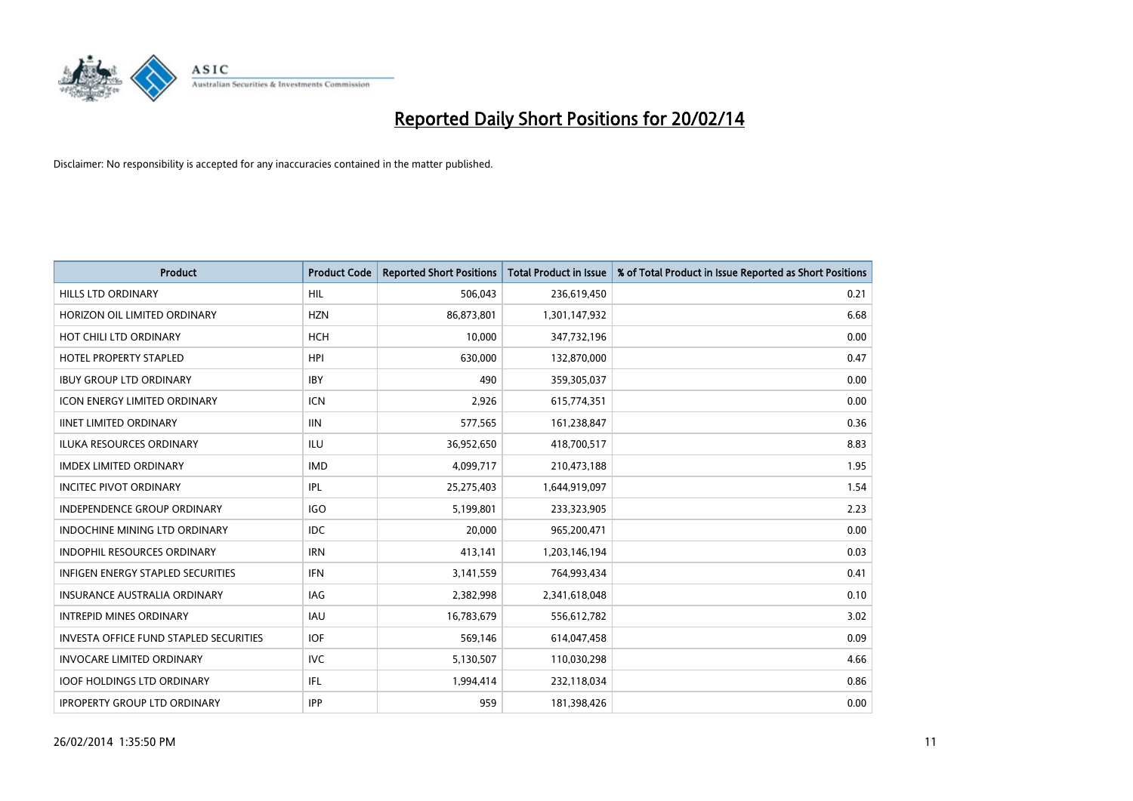

| <b>Product</b>                                | <b>Product Code</b> | <b>Reported Short Positions</b> | <b>Total Product in Issue</b> | % of Total Product in Issue Reported as Short Positions |
|-----------------------------------------------|---------------------|---------------------------------|-------------------------------|---------------------------------------------------------|
| <b>HILLS LTD ORDINARY</b>                     | HIL                 | 506,043                         | 236,619,450                   | 0.21                                                    |
| HORIZON OIL LIMITED ORDINARY                  | <b>HZN</b>          | 86,873,801                      | 1,301,147,932                 | 6.68                                                    |
| HOT CHILI LTD ORDINARY                        | <b>HCH</b>          | 10,000                          | 347,732,196                   | 0.00                                                    |
| <b>HOTEL PROPERTY STAPLED</b>                 | <b>HPI</b>          | 630,000                         | 132,870,000                   | 0.47                                                    |
| <b>IBUY GROUP LTD ORDINARY</b>                | <b>IBY</b>          | 490                             | 359,305,037                   | 0.00                                                    |
| <b>ICON ENERGY LIMITED ORDINARY</b>           | <b>ICN</b>          | 2,926                           | 615,774,351                   | 0.00                                                    |
| <b>IINET LIMITED ORDINARY</b>                 | <b>IIN</b>          | 577,565                         | 161,238,847                   | 0.36                                                    |
| ILUKA RESOURCES ORDINARY                      | ILU                 | 36,952,650                      | 418,700,517                   | 8.83                                                    |
| <b>IMDEX LIMITED ORDINARY</b>                 | <b>IMD</b>          | 4,099,717                       | 210,473,188                   | 1.95                                                    |
| <b>INCITEC PIVOT ORDINARY</b>                 | IPL                 | 25,275,403                      | 1,644,919,097                 | 1.54                                                    |
| INDEPENDENCE GROUP ORDINARY                   | <b>IGO</b>          | 5,199,801                       | 233,323,905                   | 2.23                                                    |
| <b>INDOCHINE MINING LTD ORDINARY</b>          | <b>IDC</b>          | 20,000                          | 965,200,471                   | 0.00                                                    |
| <b>INDOPHIL RESOURCES ORDINARY</b>            | <b>IRN</b>          | 413,141                         | 1,203,146,194                 | 0.03                                                    |
| <b>INFIGEN ENERGY STAPLED SECURITIES</b>      | <b>IFN</b>          | 3,141,559                       | 764,993,434                   | 0.41                                                    |
| <b>INSURANCE AUSTRALIA ORDINARY</b>           | IAG                 | 2,382,998                       | 2,341,618,048                 | 0.10                                                    |
| <b>INTREPID MINES ORDINARY</b>                | <b>IAU</b>          | 16,783,679                      | 556,612,782                   | 3.02                                                    |
| <b>INVESTA OFFICE FUND STAPLED SECURITIES</b> | <b>IOF</b>          | 569,146                         | 614,047,458                   | 0.09                                                    |
| <b>INVOCARE LIMITED ORDINARY</b>              | <b>IVC</b>          | 5,130,507                       | 110,030,298                   | 4.66                                                    |
| <b>IOOF HOLDINGS LTD ORDINARY</b>             | IFL                 | 1,994,414                       | 232,118,034                   | 0.86                                                    |
| <b>IPROPERTY GROUP LTD ORDINARY</b>           | <b>IPP</b>          | 959                             | 181,398,426                   | 0.00                                                    |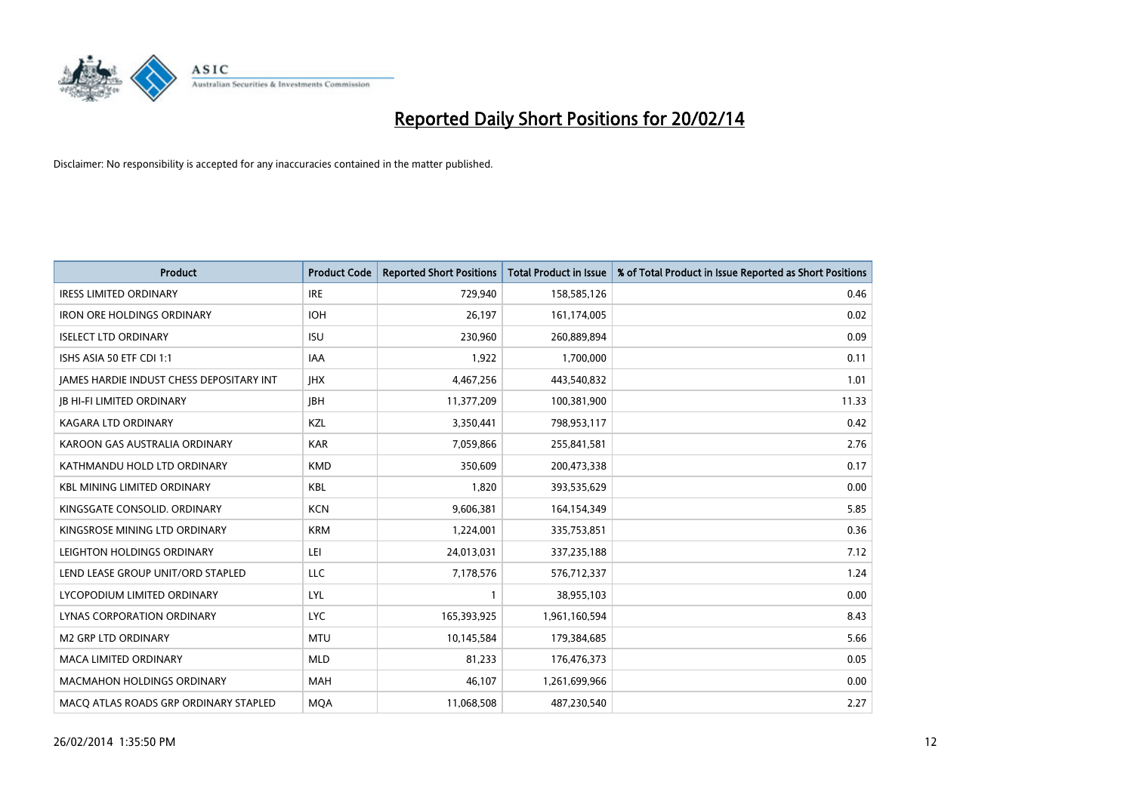

| <b>Product</b>                                  | <b>Product Code</b> | <b>Reported Short Positions</b> | <b>Total Product in Issue</b> | % of Total Product in Issue Reported as Short Positions |
|-------------------------------------------------|---------------------|---------------------------------|-------------------------------|---------------------------------------------------------|
| <b>IRESS LIMITED ORDINARY</b>                   | <b>IRE</b>          | 729,940                         | 158,585,126                   | 0.46                                                    |
| <b>IRON ORE HOLDINGS ORDINARY</b>               | <b>IOH</b>          | 26,197                          | 161,174,005                   | 0.02                                                    |
| <b>ISELECT LTD ORDINARY</b>                     | <b>ISU</b>          | 230,960                         | 260,889,894                   | 0.09                                                    |
| ISHS ASIA 50 ETF CDI 1:1                        | <b>IAA</b>          | 1,922                           | 1,700,000                     | 0.11                                                    |
| <b>JAMES HARDIE INDUST CHESS DEPOSITARY INT</b> | <b>IHX</b>          | 4,467,256                       | 443,540,832                   | 1.01                                                    |
| <b>JB HI-FI LIMITED ORDINARY</b>                | <b>IBH</b>          | 11,377,209                      | 100,381,900                   | 11.33                                                   |
| KAGARA LTD ORDINARY                             | KZL                 | 3,350,441                       | 798,953,117                   | 0.42                                                    |
| KAROON GAS AUSTRALIA ORDINARY                   | <b>KAR</b>          | 7,059,866                       | 255,841,581                   | 2.76                                                    |
| KATHMANDU HOLD LTD ORDINARY                     | <b>KMD</b>          | 350,609                         | 200,473,338                   | 0.17                                                    |
| <b>KBL MINING LIMITED ORDINARY</b>              | <b>KBL</b>          | 1,820                           | 393,535,629                   | 0.00                                                    |
| KINGSGATE CONSOLID, ORDINARY                    | <b>KCN</b>          | 9,606,381                       | 164,154,349                   | 5.85                                                    |
| KINGSROSE MINING LTD ORDINARY                   | <b>KRM</b>          | 1,224,001                       | 335,753,851                   | 0.36                                                    |
| LEIGHTON HOLDINGS ORDINARY                      | LEI                 | 24,013,031                      | 337,235,188                   | 7.12                                                    |
| LEND LEASE GROUP UNIT/ORD STAPLED               | LLC                 | 7,178,576                       | 576,712,337                   | 1.24                                                    |
| LYCOPODIUM LIMITED ORDINARY                     | <b>LYL</b>          | $\mathbf{1}$                    | 38,955,103                    | 0.00                                                    |
| LYNAS CORPORATION ORDINARY                      | <b>LYC</b>          | 165,393,925                     | 1,961,160,594                 | 8.43                                                    |
| <b>M2 GRP LTD ORDINARY</b>                      | <b>MTU</b>          | 10,145,584                      | 179,384,685                   | 5.66                                                    |
| <b>MACA LIMITED ORDINARY</b>                    | <b>MLD</b>          | 81,233                          | 176,476,373                   | 0.05                                                    |
| <b>MACMAHON HOLDINGS ORDINARY</b>               | <b>MAH</b>          | 46,107                          | 1,261,699,966                 | 0.00                                                    |
| MACO ATLAS ROADS GRP ORDINARY STAPLED           | <b>MOA</b>          | 11,068,508                      | 487,230,540                   | 2.27                                                    |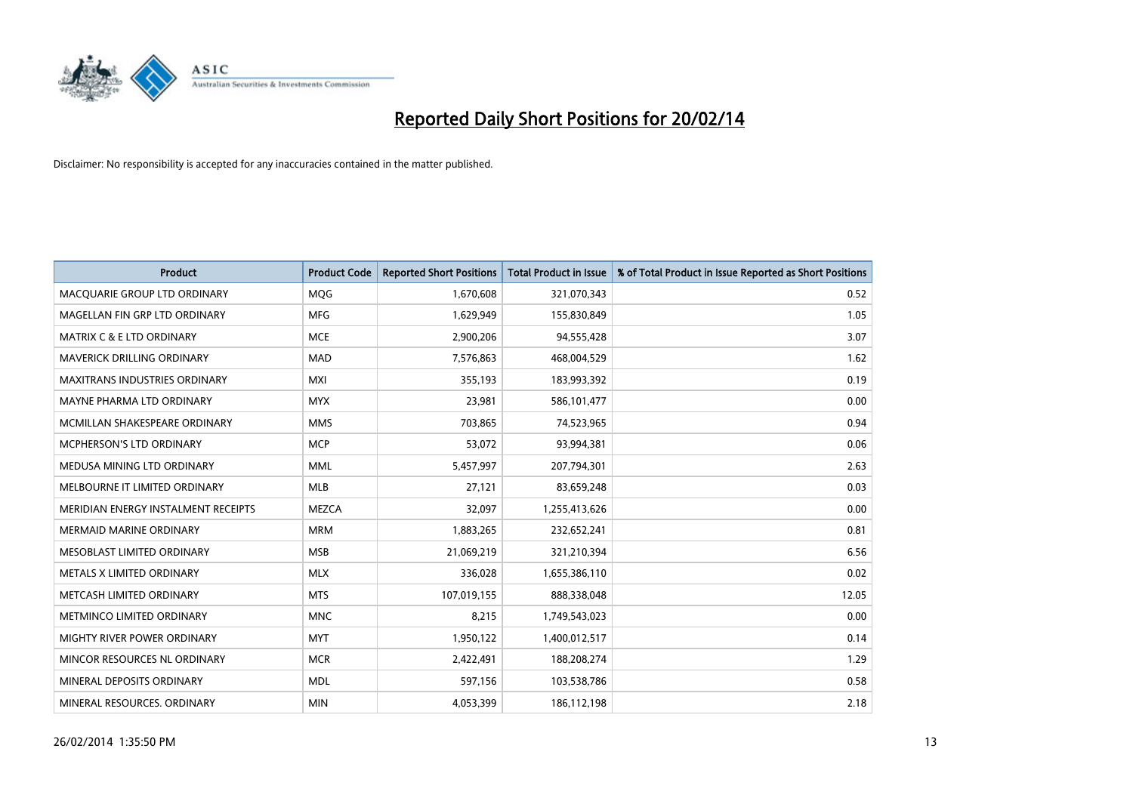

| <b>Product</b>                       | <b>Product Code</b> | <b>Reported Short Positions</b> | <b>Total Product in Issue</b> | % of Total Product in Issue Reported as Short Positions |
|--------------------------------------|---------------------|---------------------------------|-------------------------------|---------------------------------------------------------|
| MACQUARIE GROUP LTD ORDINARY         | MQG                 | 1,670,608                       | 321,070,343                   | 0.52                                                    |
| MAGELLAN FIN GRP LTD ORDINARY        | MFG                 | 1,629,949                       | 155,830,849                   | 1.05                                                    |
| <b>MATRIX C &amp; E LTD ORDINARY</b> | <b>MCE</b>          | 2,900,206                       | 94,555,428                    | 3.07                                                    |
| MAVERICK DRILLING ORDINARY           | <b>MAD</b>          | 7,576,863                       | 468,004,529                   | 1.62                                                    |
| <b>MAXITRANS INDUSTRIES ORDINARY</b> | <b>MXI</b>          | 355,193                         | 183,993,392                   | 0.19                                                    |
| MAYNE PHARMA LTD ORDINARY            | <b>MYX</b>          | 23,981                          | 586,101,477                   | 0.00                                                    |
| MCMILLAN SHAKESPEARE ORDINARY        | <b>MMS</b>          | 703,865                         | 74,523,965                    | 0.94                                                    |
| MCPHERSON'S LTD ORDINARY             | <b>MCP</b>          | 53,072                          | 93,994,381                    | 0.06                                                    |
| MEDUSA MINING LTD ORDINARY           | <b>MML</b>          | 5,457,997                       | 207,794,301                   | 2.63                                                    |
| MELBOURNE IT LIMITED ORDINARY        | <b>MLB</b>          | 27,121                          | 83,659,248                    | 0.03                                                    |
| MERIDIAN ENERGY INSTALMENT RECEIPTS  | <b>MEZCA</b>        | 32,097                          | 1,255,413,626                 | 0.00                                                    |
| <b>MERMAID MARINE ORDINARY</b>       | <b>MRM</b>          | 1,883,265                       | 232,652,241                   | 0.81                                                    |
| MESOBLAST LIMITED ORDINARY           | <b>MSB</b>          | 21,069,219                      | 321,210,394                   | 6.56                                                    |
| METALS X LIMITED ORDINARY            | <b>MLX</b>          | 336,028                         | 1,655,386,110                 | 0.02                                                    |
| METCASH LIMITED ORDINARY             | <b>MTS</b>          | 107,019,155                     | 888,338,048                   | 12.05                                                   |
| METMINCO LIMITED ORDINARY            | <b>MNC</b>          | 8,215                           | 1,749,543,023                 | 0.00                                                    |
| MIGHTY RIVER POWER ORDINARY          | <b>MYT</b>          | 1,950,122                       | 1,400,012,517                 | 0.14                                                    |
| MINCOR RESOURCES NL ORDINARY         | <b>MCR</b>          | 2,422,491                       | 188,208,274                   | 1.29                                                    |
| MINERAL DEPOSITS ORDINARY            | <b>MDL</b>          | 597,156                         | 103,538,786                   | 0.58                                                    |
| MINERAL RESOURCES. ORDINARY          | <b>MIN</b>          | 4,053,399                       | 186,112,198                   | 2.18                                                    |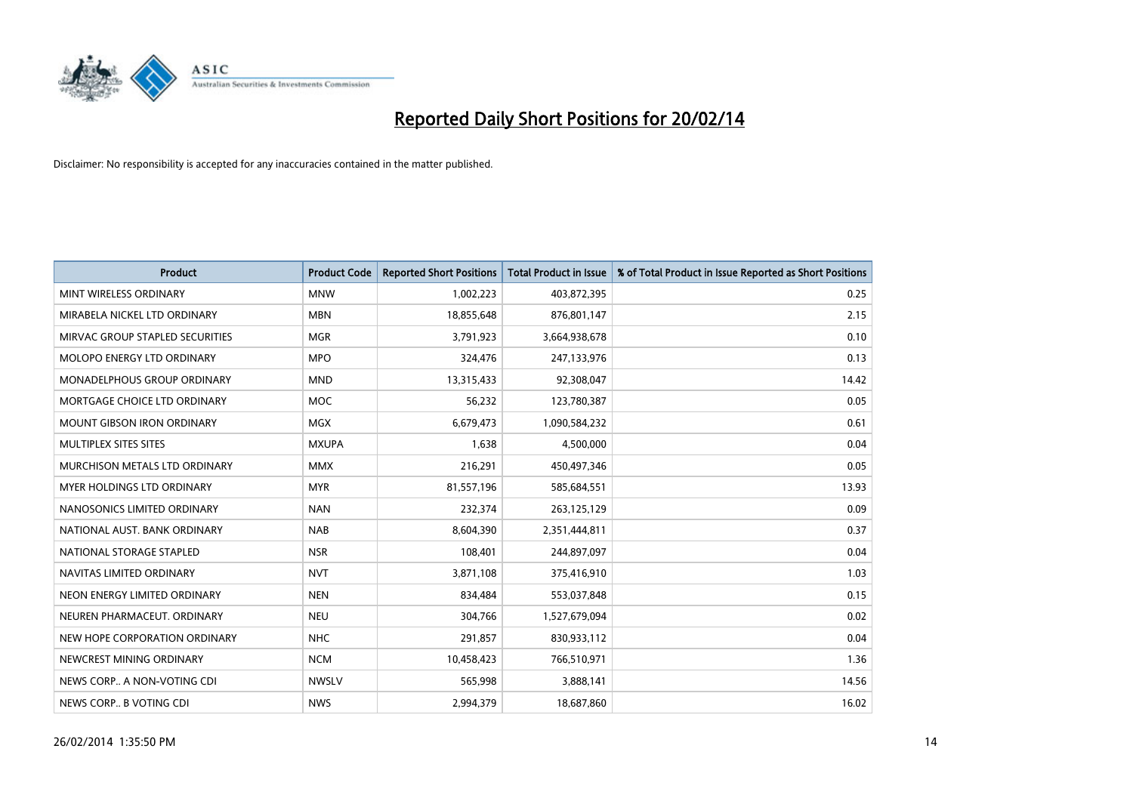

| <b>Product</b>                    | <b>Product Code</b> | <b>Reported Short Positions</b> | <b>Total Product in Issue</b> | % of Total Product in Issue Reported as Short Positions |
|-----------------------------------|---------------------|---------------------------------|-------------------------------|---------------------------------------------------------|
| MINT WIRELESS ORDINARY            | <b>MNW</b>          | 1,002,223                       | 403,872,395                   | 0.25                                                    |
| MIRABELA NICKEL LTD ORDINARY      | <b>MBN</b>          | 18,855,648                      | 876,801,147                   | 2.15                                                    |
| MIRVAC GROUP STAPLED SECURITIES   | <b>MGR</b>          | 3,791,923                       | 3,664,938,678                 | 0.10                                                    |
| MOLOPO ENERGY LTD ORDINARY        | <b>MPO</b>          | 324,476                         | 247,133,976                   | 0.13                                                    |
| MONADELPHOUS GROUP ORDINARY       | <b>MND</b>          | 13,315,433                      | 92,308,047                    | 14.42                                                   |
| MORTGAGE CHOICE LTD ORDINARY      | <b>MOC</b>          | 56,232                          | 123,780,387                   | 0.05                                                    |
| <b>MOUNT GIBSON IRON ORDINARY</b> | <b>MGX</b>          | 6,679,473                       | 1,090,584,232                 | 0.61                                                    |
| MULTIPLEX SITES SITES             | <b>MXUPA</b>        | 1,638                           | 4,500,000                     | 0.04                                                    |
| MURCHISON METALS LTD ORDINARY     | <b>MMX</b>          | 216,291                         | 450,497,346                   | 0.05                                                    |
| MYER HOLDINGS LTD ORDINARY        | <b>MYR</b>          | 81,557,196                      | 585,684,551                   | 13.93                                                   |
| NANOSONICS LIMITED ORDINARY       | <b>NAN</b>          | 232,374                         | 263,125,129                   | 0.09                                                    |
| NATIONAL AUST. BANK ORDINARY      | <b>NAB</b>          | 8,604,390                       | 2,351,444,811                 | 0.37                                                    |
| NATIONAL STORAGE STAPLED          | <b>NSR</b>          | 108,401                         | 244,897,097                   | 0.04                                                    |
| NAVITAS LIMITED ORDINARY          | <b>NVT</b>          | 3,871,108                       | 375,416,910                   | 1.03                                                    |
| NEON ENERGY LIMITED ORDINARY      | <b>NEN</b>          | 834,484                         | 553,037,848                   | 0.15                                                    |
| NEUREN PHARMACEUT, ORDINARY       | <b>NEU</b>          | 304,766                         | 1,527,679,094                 | 0.02                                                    |
| NEW HOPE CORPORATION ORDINARY     | <b>NHC</b>          | 291,857                         | 830,933,112                   | 0.04                                                    |
| NEWCREST MINING ORDINARY          | <b>NCM</b>          | 10,458,423                      | 766,510,971                   | 1.36                                                    |
| NEWS CORP A NON-VOTING CDI        | <b>NWSLV</b>        | 565,998                         | 3,888,141                     | 14.56                                                   |
| NEWS CORP B VOTING CDI            | <b>NWS</b>          | 2,994,379                       | 18,687,860                    | 16.02                                                   |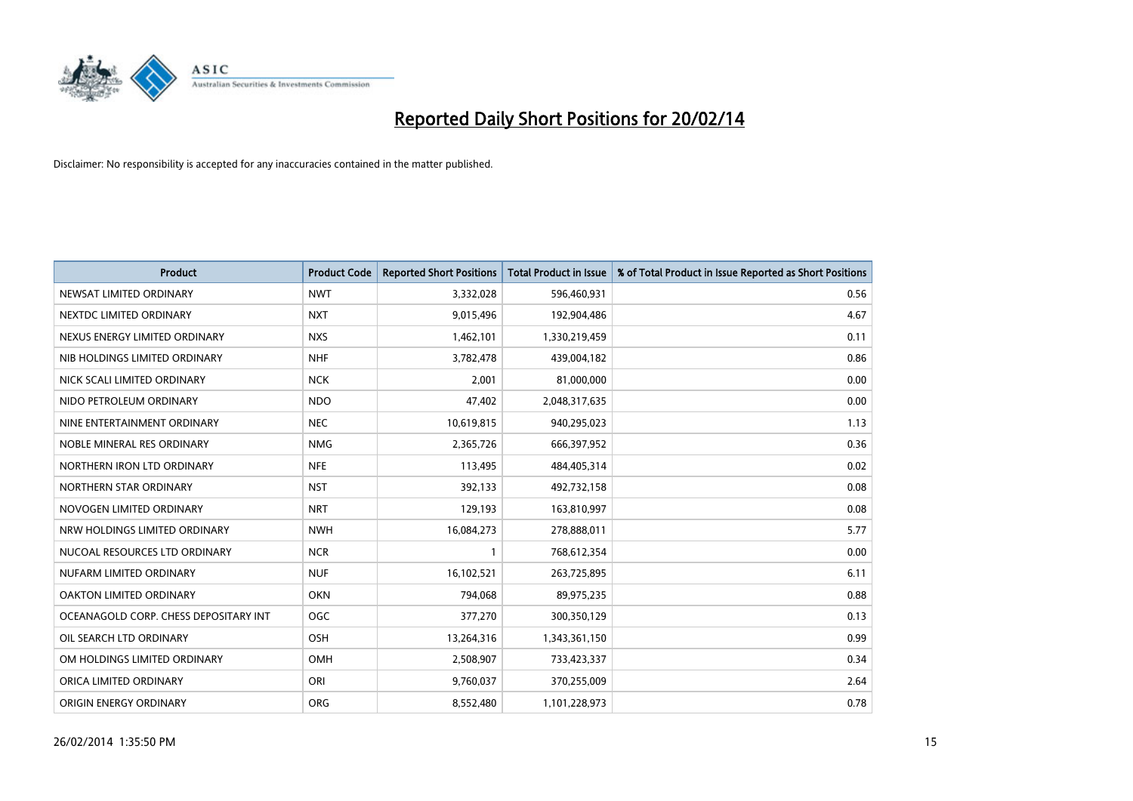

| <b>Product</b>                        | <b>Product Code</b> | <b>Reported Short Positions</b> | <b>Total Product in Issue</b> | % of Total Product in Issue Reported as Short Positions |
|---------------------------------------|---------------------|---------------------------------|-------------------------------|---------------------------------------------------------|
| NEWSAT LIMITED ORDINARY               | <b>NWT</b>          | 3,332,028                       | 596,460,931                   | 0.56                                                    |
| NEXTDC LIMITED ORDINARY               | <b>NXT</b>          | 9,015,496                       | 192,904,486                   | 4.67                                                    |
| NEXUS ENERGY LIMITED ORDINARY         | <b>NXS</b>          | 1,462,101                       | 1,330,219,459                 | 0.11                                                    |
| NIB HOLDINGS LIMITED ORDINARY         | <b>NHF</b>          | 3,782,478                       | 439,004,182                   | 0.86                                                    |
| NICK SCALI LIMITED ORDINARY           | <b>NCK</b>          | 2,001                           | 81,000,000                    | 0.00                                                    |
| NIDO PETROLEUM ORDINARY               | <b>NDO</b>          | 47,402                          | 2,048,317,635                 | 0.00                                                    |
| NINE ENTERTAINMENT ORDINARY           | <b>NEC</b>          | 10,619,815                      | 940,295,023                   | 1.13                                                    |
| NOBLE MINERAL RES ORDINARY            | <b>NMG</b>          | 2,365,726                       | 666,397,952                   | 0.36                                                    |
| NORTHERN IRON LTD ORDINARY            | <b>NFE</b>          | 113,495                         | 484,405,314                   | 0.02                                                    |
| NORTHERN STAR ORDINARY                | <b>NST</b>          | 392,133                         | 492,732,158                   | 0.08                                                    |
| NOVOGEN LIMITED ORDINARY              | <b>NRT</b>          | 129,193                         | 163,810,997                   | 0.08                                                    |
| NRW HOLDINGS LIMITED ORDINARY         | <b>NWH</b>          | 16,084,273                      | 278,888,011                   | 5.77                                                    |
| NUCOAL RESOURCES LTD ORDINARY         | <b>NCR</b>          | $\mathbf{1}$                    | 768,612,354                   | 0.00                                                    |
| NUFARM LIMITED ORDINARY               | <b>NUF</b>          | 16,102,521                      | 263,725,895                   | 6.11                                                    |
| <b>OAKTON LIMITED ORDINARY</b>        | <b>OKN</b>          | 794,068                         | 89,975,235                    | 0.88                                                    |
| OCEANAGOLD CORP. CHESS DEPOSITARY INT | <b>OGC</b>          | 377,270                         | 300,350,129                   | 0.13                                                    |
| OIL SEARCH LTD ORDINARY               | OSH                 | 13,264,316                      | 1,343,361,150                 | 0.99                                                    |
| OM HOLDINGS LIMITED ORDINARY          | OMH                 | 2,508,907                       | 733,423,337                   | 0.34                                                    |
| ORICA LIMITED ORDINARY                | ORI                 | 9,760,037                       | 370,255,009                   | 2.64                                                    |
| ORIGIN ENERGY ORDINARY                | <b>ORG</b>          | 8,552,480                       | 1,101,228,973                 | 0.78                                                    |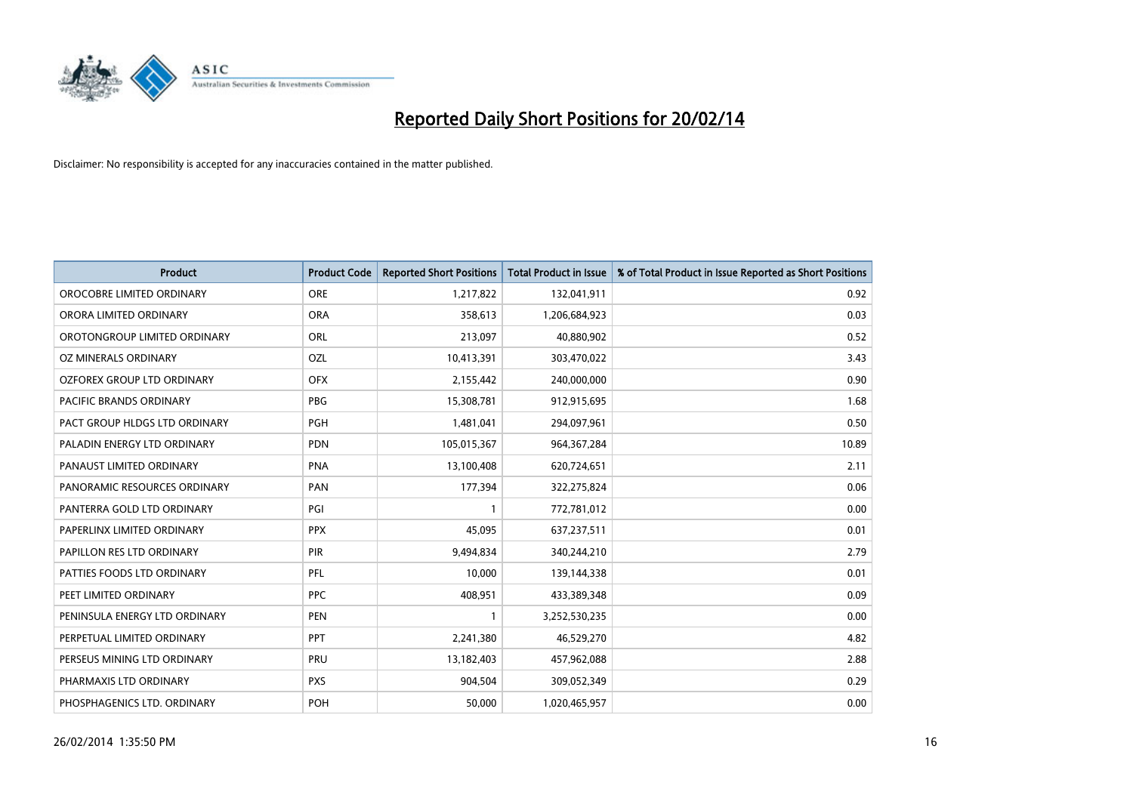

| <b>Product</b>                    | <b>Product Code</b> | <b>Reported Short Positions</b> | <b>Total Product in Issue</b> | % of Total Product in Issue Reported as Short Positions |
|-----------------------------------|---------------------|---------------------------------|-------------------------------|---------------------------------------------------------|
| OROCOBRE LIMITED ORDINARY         | <b>ORE</b>          | 1,217,822                       | 132,041,911                   | 0.92                                                    |
| ORORA LIMITED ORDINARY            | <b>ORA</b>          | 358,613                         | 1,206,684,923                 | 0.03                                                    |
| OROTONGROUP LIMITED ORDINARY      | <b>ORL</b>          | 213,097                         | 40,880,902                    | 0.52                                                    |
| OZ MINERALS ORDINARY              | <b>OZL</b>          | 10,413,391                      | 303,470,022                   | 3.43                                                    |
| <b>OZFOREX GROUP LTD ORDINARY</b> | <b>OFX</b>          | 2,155,442                       | 240,000,000                   | 0.90                                                    |
| <b>PACIFIC BRANDS ORDINARY</b>    | <b>PBG</b>          | 15,308,781                      | 912,915,695                   | 1.68                                                    |
| PACT GROUP HLDGS LTD ORDINARY     | <b>PGH</b>          | 1,481,041                       | 294,097,961                   | 0.50                                                    |
| PALADIN ENERGY LTD ORDINARY       | <b>PDN</b>          | 105,015,367                     | 964, 367, 284                 | 10.89                                                   |
| PANAUST LIMITED ORDINARY          | <b>PNA</b>          | 13,100,408                      | 620,724,651                   | 2.11                                                    |
| PANORAMIC RESOURCES ORDINARY      | PAN                 | 177,394                         | 322,275,824                   | 0.06                                                    |
| PANTERRA GOLD LTD ORDINARY        | PGI                 |                                 | 772,781,012                   | 0.00                                                    |
| PAPERLINX LIMITED ORDINARY        | <b>PPX</b>          | 45,095                          | 637,237,511                   | 0.01                                                    |
| PAPILLON RES LTD ORDINARY         | PIR                 | 9,494,834                       | 340,244,210                   | 2.79                                                    |
| PATTIES FOODS LTD ORDINARY        | PFL                 | 10,000                          | 139,144,338                   | 0.01                                                    |
| PEET LIMITED ORDINARY             | <b>PPC</b>          | 408,951                         | 433,389,348                   | 0.09                                                    |
| PENINSULA ENERGY LTD ORDINARY     | <b>PEN</b>          |                                 | 3,252,530,235                 | 0.00                                                    |
| PERPETUAL LIMITED ORDINARY        | <b>PPT</b>          | 2,241,380                       | 46,529,270                    | 4.82                                                    |
| PERSEUS MINING LTD ORDINARY       | <b>PRU</b>          | 13,182,403                      | 457,962,088                   | 2.88                                                    |
| PHARMAXIS LTD ORDINARY            | <b>PXS</b>          | 904,504                         | 309,052,349                   | 0.29                                                    |
| PHOSPHAGENICS LTD. ORDINARY       | POH                 | 50,000                          | 1,020,465,957                 | 0.00                                                    |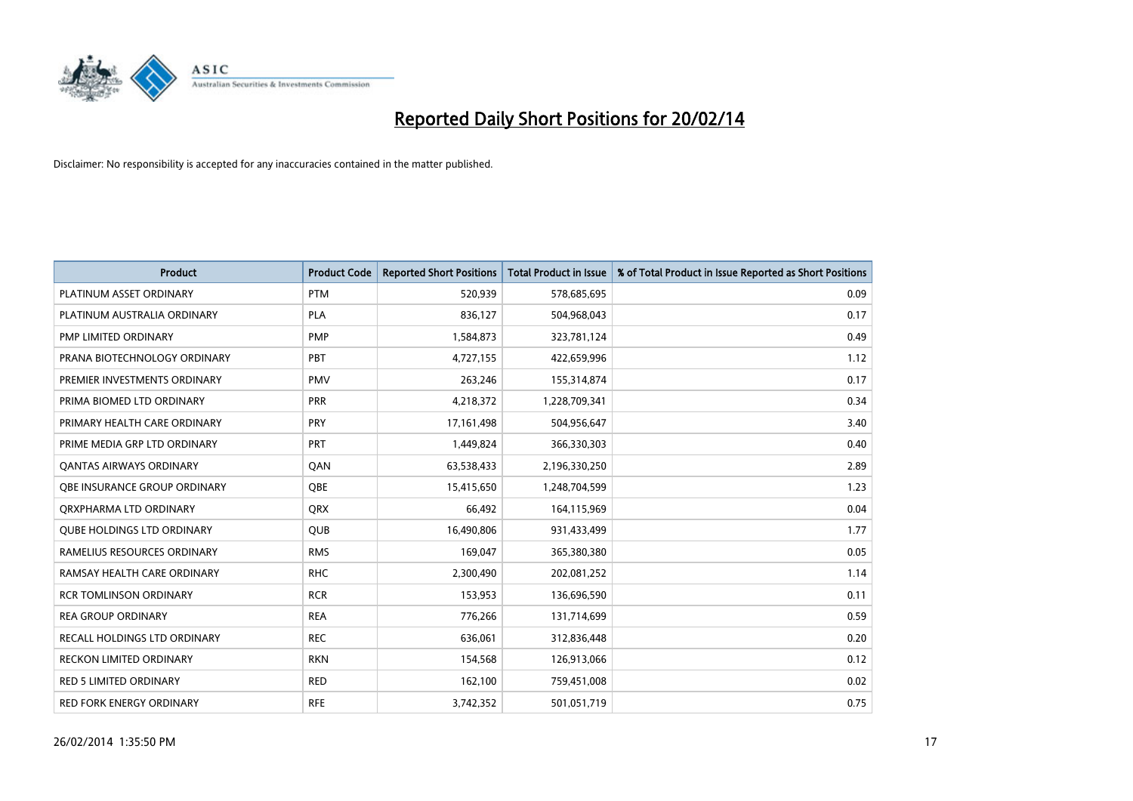

| <b>Product</b>                    | <b>Product Code</b> | <b>Reported Short Positions</b> | <b>Total Product in Issue</b> | % of Total Product in Issue Reported as Short Positions |
|-----------------------------------|---------------------|---------------------------------|-------------------------------|---------------------------------------------------------|
| PLATINUM ASSET ORDINARY           | <b>PTM</b>          | 520,939                         | 578,685,695                   | 0.09                                                    |
| PLATINUM AUSTRALIA ORDINARY       | <b>PLA</b>          | 836,127                         | 504,968,043                   | 0.17                                                    |
| PMP LIMITED ORDINARY              | <b>PMP</b>          | 1,584,873                       | 323,781,124                   | 0.49                                                    |
| PRANA BIOTECHNOLOGY ORDINARY      | PBT                 | 4,727,155                       | 422,659,996                   | 1.12                                                    |
| PREMIER INVESTMENTS ORDINARY      | <b>PMV</b>          | 263,246                         | 155,314,874                   | 0.17                                                    |
| PRIMA BIOMED LTD ORDINARY         | PRR                 | 4,218,372                       | 1,228,709,341                 | 0.34                                                    |
| PRIMARY HEALTH CARE ORDINARY      | <b>PRY</b>          | 17, 161, 498                    | 504,956,647                   | 3.40                                                    |
| PRIME MEDIA GRP LTD ORDINARY      | <b>PRT</b>          | 1,449,824                       | 366,330,303                   | 0.40                                                    |
| <b>QANTAS AIRWAYS ORDINARY</b>    | QAN                 | 63,538,433                      | 2,196,330,250                 | 2.89                                                    |
| OBE INSURANCE GROUP ORDINARY      | <b>OBE</b>          | 15,415,650                      | 1,248,704,599                 | 1.23                                                    |
| ORXPHARMA LTD ORDINARY            | QRX                 | 66,492                          | 164,115,969                   | 0.04                                                    |
| <b>QUBE HOLDINGS LTD ORDINARY</b> | <b>QUB</b>          | 16,490,806                      | 931,433,499                   | 1.77                                                    |
| RAMELIUS RESOURCES ORDINARY       | <b>RMS</b>          | 169,047                         | 365,380,380                   | 0.05                                                    |
| RAMSAY HEALTH CARE ORDINARY       | <b>RHC</b>          | 2,300,490                       | 202,081,252                   | 1.14                                                    |
| <b>RCR TOMLINSON ORDINARY</b>     | <b>RCR</b>          | 153,953                         | 136,696,590                   | 0.11                                                    |
| <b>REA GROUP ORDINARY</b>         | <b>REA</b>          | 776,266                         | 131,714,699                   | 0.59                                                    |
| RECALL HOLDINGS LTD ORDINARY      | <b>REC</b>          | 636,061                         | 312,836,448                   | 0.20                                                    |
| RECKON LIMITED ORDINARY           | <b>RKN</b>          | 154,568                         | 126,913,066                   | 0.12                                                    |
| <b>RED 5 LIMITED ORDINARY</b>     | <b>RED</b>          | 162,100                         | 759,451,008                   | 0.02                                                    |
| RED FORK ENERGY ORDINARY          | <b>RFE</b>          | 3,742,352                       | 501,051,719                   | 0.75                                                    |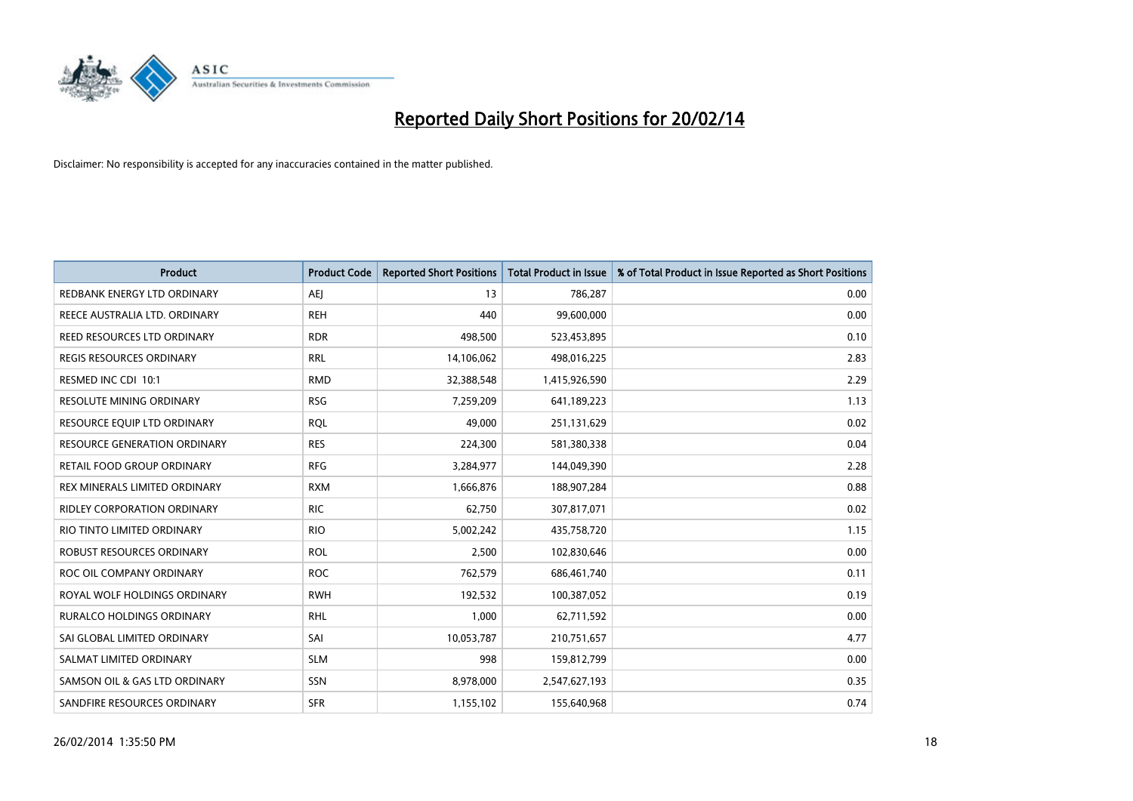

| Product                           | <b>Product Code</b> | <b>Reported Short Positions</b> | <b>Total Product in Issue</b> | % of Total Product in Issue Reported as Short Positions |
|-----------------------------------|---------------------|---------------------------------|-------------------------------|---------------------------------------------------------|
| REDBANK ENERGY LTD ORDINARY       | <b>AEJ</b>          | 13                              | 786,287                       | 0.00                                                    |
| REECE AUSTRALIA LTD. ORDINARY     | <b>REH</b>          | 440                             | 99,600,000                    | 0.00                                                    |
| REED RESOURCES LTD ORDINARY       | <b>RDR</b>          | 498,500                         | 523,453,895                   | 0.10                                                    |
| REGIS RESOURCES ORDINARY          | <b>RRL</b>          | 14,106,062                      | 498,016,225                   | 2.83                                                    |
| RESMED INC CDI 10:1               | <b>RMD</b>          | 32,388,548                      | 1,415,926,590                 | 2.29                                                    |
| RESOLUTE MINING ORDINARY          | <b>RSG</b>          | 7,259,209                       | 641,189,223                   | 1.13                                                    |
| RESOURCE EQUIP LTD ORDINARY       | <b>RQL</b>          | 49,000                          | 251,131,629                   | 0.02                                                    |
| RESOURCE GENERATION ORDINARY      | <b>RES</b>          | 224,300                         | 581,380,338                   | 0.04                                                    |
| <b>RETAIL FOOD GROUP ORDINARY</b> | <b>RFG</b>          | 3,284,977                       | 144,049,390                   | 2.28                                                    |
| REX MINERALS LIMITED ORDINARY     | <b>RXM</b>          | 1,666,876                       | 188,907,284                   | 0.88                                                    |
| RIDLEY CORPORATION ORDINARY       | <b>RIC</b>          | 62,750                          | 307,817,071                   | 0.02                                                    |
| RIO TINTO LIMITED ORDINARY        | <b>RIO</b>          | 5,002,242                       | 435,758,720                   | 1.15                                                    |
| ROBUST RESOURCES ORDINARY         | <b>ROL</b>          | 2,500                           | 102,830,646                   | 0.00                                                    |
| ROC OIL COMPANY ORDINARY          | <b>ROC</b>          | 762,579                         | 686,461,740                   | 0.11                                                    |
| ROYAL WOLF HOLDINGS ORDINARY      | <b>RWH</b>          | 192,532                         | 100,387,052                   | 0.19                                                    |
| <b>RURALCO HOLDINGS ORDINARY</b>  | <b>RHL</b>          | 1,000                           | 62,711,592                    | 0.00                                                    |
| SAI GLOBAL LIMITED ORDINARY       | SAI                 | 10,053,787                      | 210,751,657                   | 4.77                                                    |
| SALMAT LIMITED ORDINARY           | <b>SLM</b>          | 998                             | 159,812,799                   | 0.00                                                    |
| SAMSON OIL & GAS LTD ORDINARY     | SSN                 | 8,978,000                       | 2,547,627,193                 | 0.35                                                    |
| SANDFIRE RESOURCES ORDINARY       | <b>SFR</b>          | 1,155,102                       | 155,640,968                   | 0.74                                                    |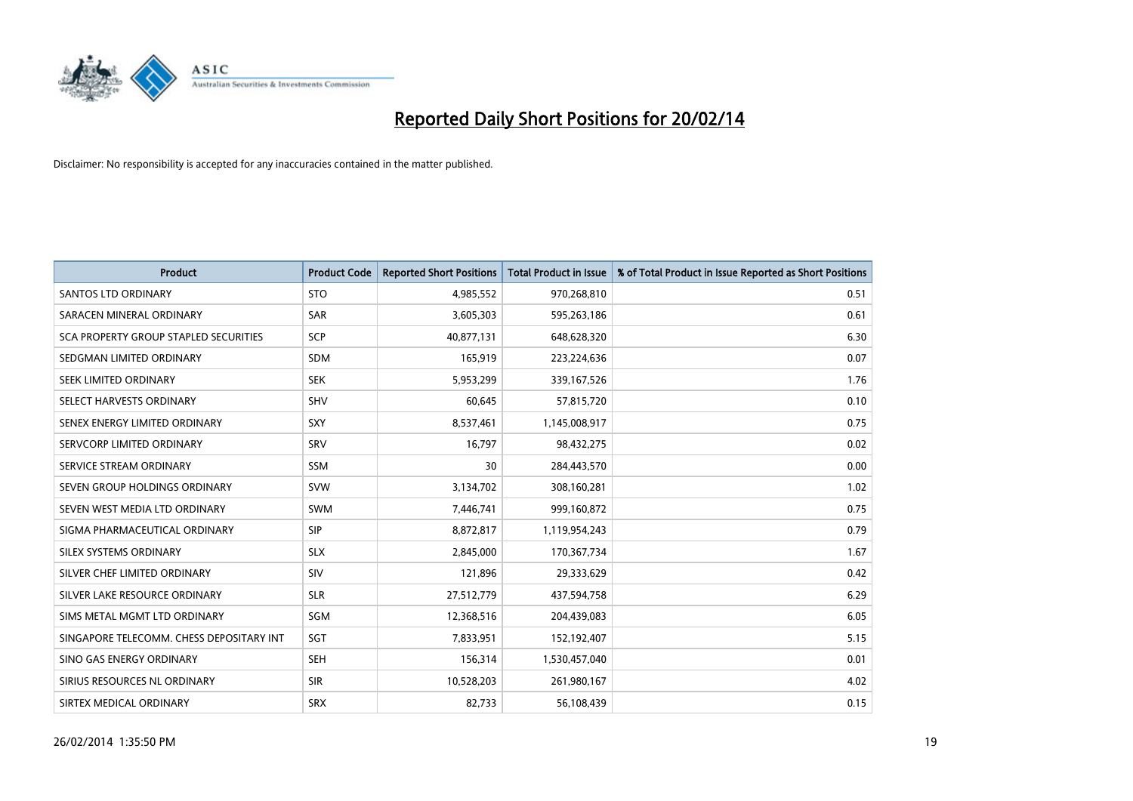

| <b>Product</b>                           | <b>Product Code</b> | <b>Reported Short Positions</b> | <b>Total Product in Issue</b> | % of Total Product in Issue Reported as Short Positions |
|------------------------------------------|---------------------|---------------------------------|-------------------------------|---------------------------------------------------------|
| <b>SANTOS LTD ORDINARY</b>               | <b>STO</b>          | 4,985,552                       | 970,268,810                   | 0.51                                                    |
| SARACEN MINERAL ORDINARY                 | SAR                 | 3,605,303                       | 595,263,186                   | 0.61                                                    |
| SCA PROPERTY GROUP STAPLED SECURITIES    | <b>SCP</b>          | 40,877,131                      | 648,628,320                   | 6.30                                                    |
| SEDGMAN LIMITED ORDINARY                 | <b>SDM</b>          | 165,919                         | 223,224,636                   | 0.07                                                    |
| SEEK LIMITED ORDINARY                    | <b>SEK</b>          | 5,953,299                       | 339,167,526                   | 1.76                                                    |
| SELECT HARVESTS ORDINARY                 | SHV                 | 60,645                          | 57,815,720                    | 0.10                                                    |
| SENEX ENERGY LIMITED ORDINARY            | <b>SXY</b>          | 8,537,461                       | 1,145,008,917                 | 0.75                                                    |
| SERVCORP LIMITED ORDINARY                | SRV                 | 16,797                          | 98,432,275                    | 0.02                                                    |
| SERVICE STREAM ORDINARY                  | <b>SSM</b>          | 30                              | 284,443,570                   | 0.00                                                    |
| SEVEN GROUP HOLDINGS ORDINARY            | <b>SVW</b>          | 3,134,702                       | 308,160,281                   | 1.02                                                    |
| SEVEN WEST MEDIA LTD ORDINARY            | <b>SWM</b>          | 7,446,741                       | 999,160,872                   | 0.75                                                    |
| SIGMA PHARMACEUTICAL ORDINARY            | <b>SIP</b>          | 8,872,817                       | 1,119,954,243                 | 0.79                                                    |
| SILEX SYSTEMS ORDINARY                   | <b>SLX</b>          | 2,845,000                       | 170,367,734                   | 1.67                                                    |
| SILVER CHEF LIMITED ORDINARY             | SIV                 | 121,896                         | 29,333,629                    | 0.42                                                    |
| SILVER LAKE RESOURCE ORDINARY            | <b>SLR</b>          | 27,512,779                      | 437,594,758                   | 6.29                                                    |
| SIMS METAL MGMT LTD ORDINARY             | SGM                 | 12,368,516                      | 204,439,083                   | 6.05                                                    |
| SINGAPORE TELECOMM. CHESS DEPOSITARY INT | SGT                 | 7,833,951                       | 152,192,407                   | 5.15                                                    |
| SINO GAS ENERGY ORDINARY                 | <b>SEH</b>          | 156,314                         | 1,530,457,040                 | 0.01                                                    |
| SIRIUS RESOURCES NL ORDINARY             | <b>SIR</b>          | 10,528,203                      | 261,980,167                   | 4.02                                                    |
| SIRTEX MEDICAL ORDINARY                  | <b>SRX</b>          | 82,733                          | 56,108,439                    | 0.15                                                    |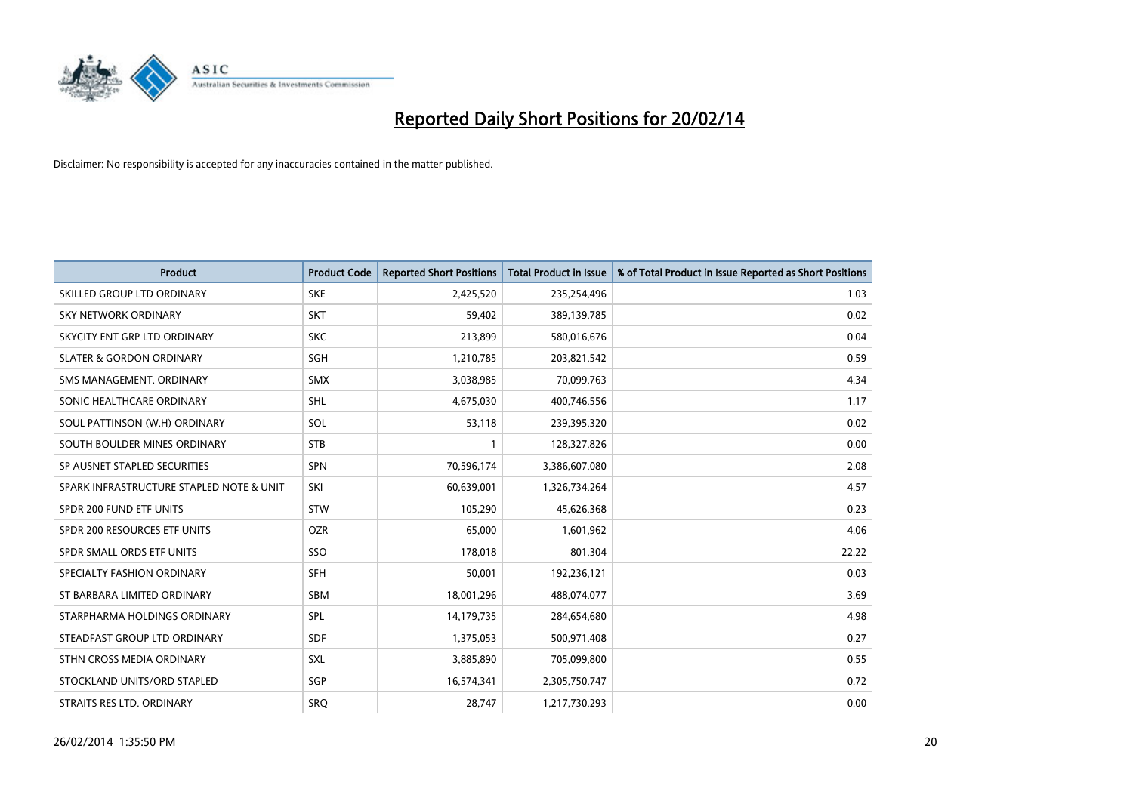

| <b>Product</b>                           | <b>Product Code</b> | <b>Reported Short Positions</b> | <b>Total Product in Issue</b> | % of Total Product in Issue Reported as Short Positions |
|------------------------------------------|---------------------|---------------------------------|-------------------------------|---------------------------------------------------------|
| SKILLED GROUP LTD ORDINARY               | <b>SKE</b>          | 2,425,520                       | 235,254,496                   | 1.03                                                    |
| SKY NETWORK ORDINARY                     | <b>SKT</b>          | 59,402                          | 389,139,785                   | 0.02                                                    |
| SKYCITY ENT GRP LTD ORDINARY             | <b>SKC</b>          | 213,899                         | 580,016,676                   | 0.04                                                    |
| <b>SLATER &amp; GORDON ORDINARY</b>      | SGH                 | 1,210,785                       | 203,821,542                   | 0.59                                                    |
| SMS MANAGEMENT, ORDINARY                 | <b>SMX</b>          | 3,038,985                       | 70,099,763                    | 4.34                                                    |
| SONIC HEALTHCARE ORDINARY                | SHL                 | 4,675,030                       | 400,746,556                   | 1.17                                                    |
| SOUL PATTINSON (W.H) ORDINARY            | SOL                 | 53,118                          | 239,395,320                   | 0.02                                                    |
| SOUTH BOULDER MINES ORDINARY             | <b>STB</b>          | $\mathbf{1}$                    | 128,327,826                   | 0.00                                                    |
| SP AUSNET STAPLED SECURITIES             | SPN                 | 70,596,174                      | 3,386,607,080                 | 2.08                                                    |
| SPARK INFRASTRUCTURE STAPLED NOTE & UNIT | SKI                 | 60,639,001                      | 1,326,734,264                 | 4.57                                                    |
| SPDR 200 FUND ETF UNITS                  | <b>STW</b>          | 105,290                         | 45,626,368                    | 0.23                                                    |
| SPDR 200 RESOURCES ETF UNITS             | <b>OZR</b>          | 65,000                          | 1,601,962                     | 4.06                                                    |
| SPDR SMALL ORDS ETF UNITS                | SSO                 | 178,018                         | 801,304                       | 22.22                                                   |
| SPECIALTY FASHION ORDINARY               | <b>SFH</b>          | 50,001                          | 192,236,121                   | 0.03                                                    |
| ST BARBARA LIMITED ORDINARY              | <b>SBM</b>          | 18,001,296                      | 488,074,077                   | 3.69                                                    |
| STARPHARMA HOLDINGS ORDINARY             | SPL                 | 14,179,735                      | 284,654,680                   | 4.98                                                    |
| STEADFAST GROUP LTD ORDINARY             | SDF                 | 1,375,053                       | 500,971,408                   | 0.27                                                    |
| STHN CROSS MEDIA ORDINARY                | <b>SXL</b>          | 3,885,890                       | 705,099,800                   | 0.55                                                    |
| STOCKLAND UNITS/ORD STAPLED              | SGP                 | 16,574,341                      | 2,305,750,747                 | 0.72                                                    |
| STRAITS RES LTD. ORDINARY                | <b>SRQ</b>          | 28,747                          | 1,217,730,293                 | 0.00                                                    |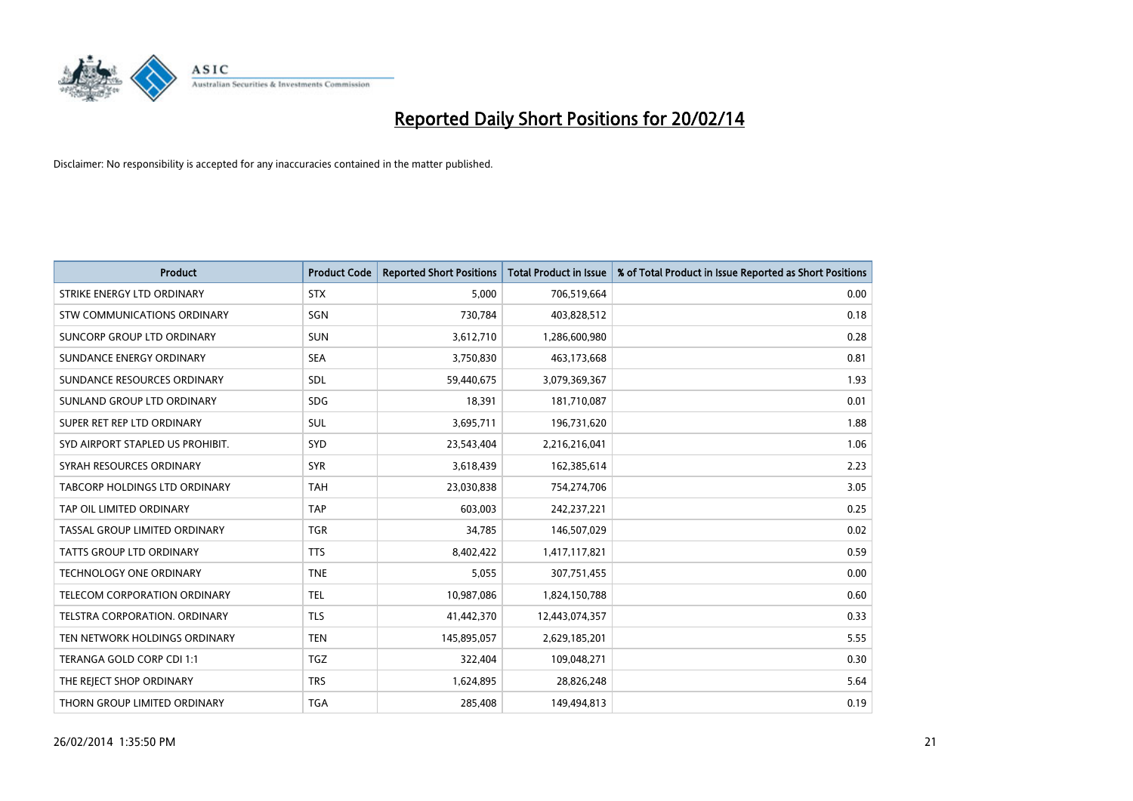

| <b>Product</b>                   | <b>Product Code</b> | <b>Reported Short Positions</b> | <b>Total Product in Issue</b> | % of Total Product in Issue Reported as Short Positions |
|----------------------------------|---------------------|---------------------------------|-------------------------------|---------------------------------------------------------|
| STRIKE ENERGY LTD ORDINARY       | <b>STX</b>          | 5,000                           | 706,519,664                   | 0.00                                                    |
| STW COMMUNICATIONS ORDINARY      | SGN                 | 730,784                         | 403,828,512                   | 0.18                                                    |
| SUNCORP GROUP LTD ORDINARY       | <b>SUN</b>          | 3,612,710                       | 1,286,600,980                 | 0.28                                                    |
| SUNDANCE ENERGY ORDINARY         | <b>SEA</b>          | 3,750,830                       | 463,173,668                   | 0.81                                                    |
| SUNDANCE RESOURCES ORDINARY      | SDL                 | 59,440,675                      | 3,079,369,367                 | 1.93                                                    |
| SUNLAND GROUP LTD ORDINARY       | <b>SDG</b>          | 18,391                          | 181,710,087                   | 0.01                                                    |
| SUPER RET REP LTD ORDINARY       | SUL                 | 3,695,711                       | 196,731,620                   | 1.88                                                    |
| SYD AIRPORT STAPLED US PROHIBIT. | SYD                 | 23,543,404                      | 2,216,216,041                 | 1.06                                                    |
| SYRAH RESOURCES ORDINARY         | <b>SYR</b>          | 3,618,439                       | 162,385,614                   | 2.23                                                    |
| TABCORP HOLDINGS LTD ORDINARY    | <b>TAH</b>          | 23,030,838                      | 754,274,706                   | 3.05                                                    |
| TAP OIL LIMITED ORDINARY         | <b>TAP</b>          | 603,003                         | 242,237,221                   | 0.25                                                    |
| TASSAL GROUP LIMITED ORDINARY    | <b>TGR</b>          | 34,785                          | 146,507,029                   | 0.02                                                    |
| TATTS GROUP LTD ORDINARY         | <b>TTS</b>          | 8,402,422                       | 1,417,117,821                 | 0.59                                                    |
| <b>TECHNOLOGY ONE ORDINARY</b>   | <b>TNE</b>          | 5,055                           | 307,751,455                   | 0.00                                                    |
| TELECOM CORPORATION ORDINARY     | <b>TEL</b>          | 10,987,086                      | 1,824,150,788                 | 0.60                                                    |
| TELSTRA CORPORATION. ORDINARY    | <b>TLS</b>          | 41,442,370                      | 12,443,074,357                | 0.33                                                    |
| TEN NETWORK HOLDINGS ORDINARY    | <b>TEN</b>          | 145,895,057                     | 2,629,185,201                 | 5.55                                                    |
| TERANGA GOLD CORP CDI 1:1        | <b>TGZ</b>          | 322,404                         | 109,048,271                   | 0.30                                                    |
| THE REJECT SHOP ORDINARY         | <b>TRS</b>          | 1,624,895                       | 28,826,248                    | 5.64                                                    |
| THORN GROUP LIMITED ORDINARY     | <b>TGA</b>          | 285,408                         | 149,494,813                   | 0.19                                                    |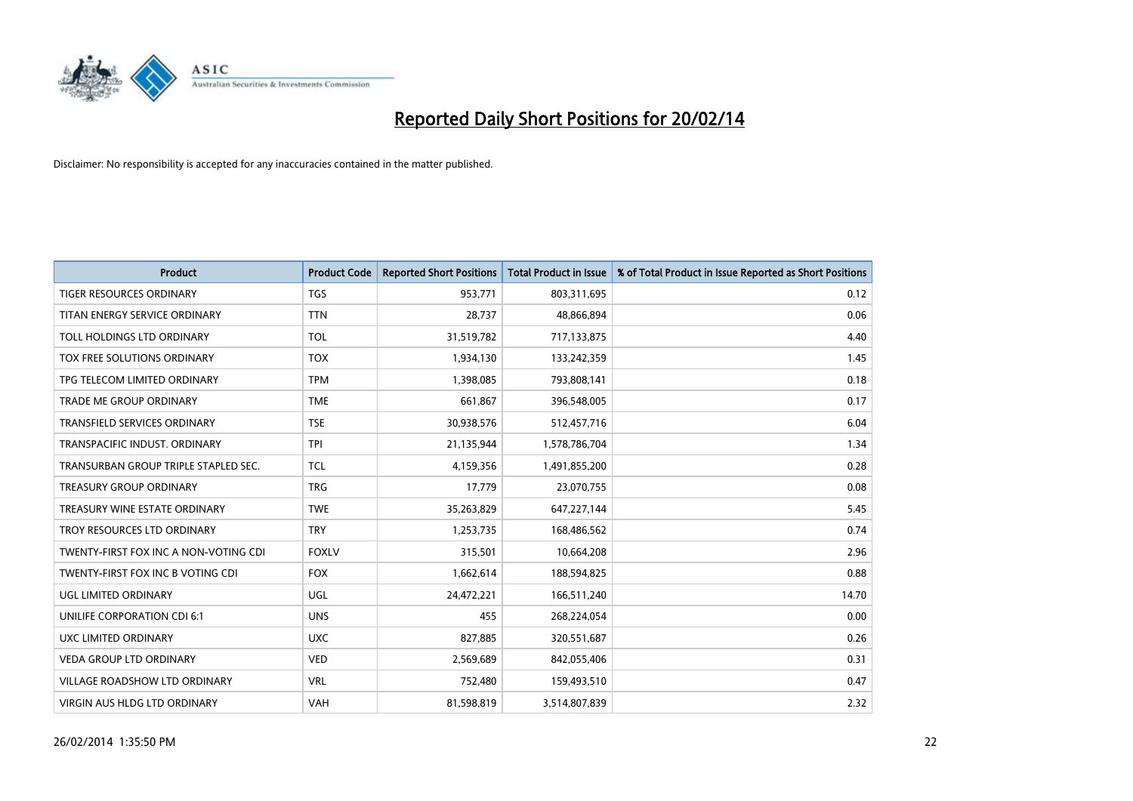

| <b>Product</b>                        | <b>Product Code</b> | <b>Reported Short Positions</b> | <b>Total Product in Issue</b> | % of Total Product in Issue Reported as Short Positions |
|---------------------------------------|---------------------|---------------------------------|-------------------------------|---------------------------------------------------------|
| <b>TIGER RESOURCES ORDINARY</b>       | <b>TGS</b>          | 953,771                         | 803,311,695                   | 0.12                                                    |
| TITAN ENERGY SERVICE ORDINARY         | <b>TTN</b>          | 28,737                          | 48,866,894                    | 0.06                                                    |
| TOLL HOLDINGS LTD ORDINARY            | <b>TOL</b>          | 31,519,782                      | 717,133,875                   | 4.40                                                    |
| TOX FREE SOLUTIONS ORDINARY           | <b>TOX</b>          | 1,934,130                       | 133,242,359                   | 1.45                                                    |
| TPG TELECOM LIMITED ORDINARY          | <b>TPM</b>          | 1,398,085                       | 793,808,141                   | 0.18                                                    |
| <b>TRADE ME GROUP ORDINARY</b>        | <b>TME</b>          | 661,867                         | 396,548,005                   | 0.17                                                    |
| TRANSFIELD SERVICES ORDINARY          | <b>TSE</b>          | 30,938,576                      | 512,457,716                   | 6.04                                                    |
| TRANSPACIFIC INDUST. ORDINARY         | <b>TPI</b>          | 21,135,944                      | 1,578,786,704                 | 1.34                                                    |
| TRANSURBAN GROUP TRIPLE STAPLED SEC.  | <b>TCL</b>          | 4,159,356                       | 1,491,855,200                 | 0.28                                                    |
| <b>TREASURY GROUP ORDINARY</b>        | <b>TRG</b>          | 17,779                          | 23,070,755                    | 0.08                                                    |
| TREASURY WINE ESTATE ORDINARY         | <b>TWE</b>          | 35,263,829                      | 647,227,144                   | 5.45                                                    |
| TROY RESOURCES LTD ORDINARY           | <b>TRY</b>          | 1,253,735                       | 168,486,562                   | 0.74                                                    |
| TWENTY-FIRST FOX INC A NON-VOTING CDI | <b>FOXLV</b>        | 315,501                         | 10,664,208                    | 2.96                                                    |
| TWENTY-FIRST FOX INC B VOTING CDI     | <b>FOX</b>          | 1,662,614                       | 188,594,825                   | 0.88                                                    |
| <b>UGL LIMITED ORDINARY</b>           | UGL                 | 24,472,221                      | 166,511,240                   | 14.70                                                   |
| UNILIFE CORPORATION CDI 6:1           | <b>UNS</b>          | 455                             | 268,224,054                   | 0.00                                                    |
| UXC LIMITED ORDINARY                  | <b>UXC</b>          | 827,885                         | 320,551,687                   | 0.26                                                    |
| <b>VEDA GROUP LTD ORDINARY</b>        | <b>VED</b>          | 2,569,689                       | 842,055,406                   | 0.31                                                    |
| VILLAGE ROADSHOW LTD ORDINARY         | <b>VRL</b>          | 752,480                         | 159,493,510                   | 0.47                                                    |
| <b>VIRGIN AUS HLDG LTD ORDINARY</b>   | <b>VAH</b>          | 81,598,819                      | 3,514,807,839                 | 2.32                                                    |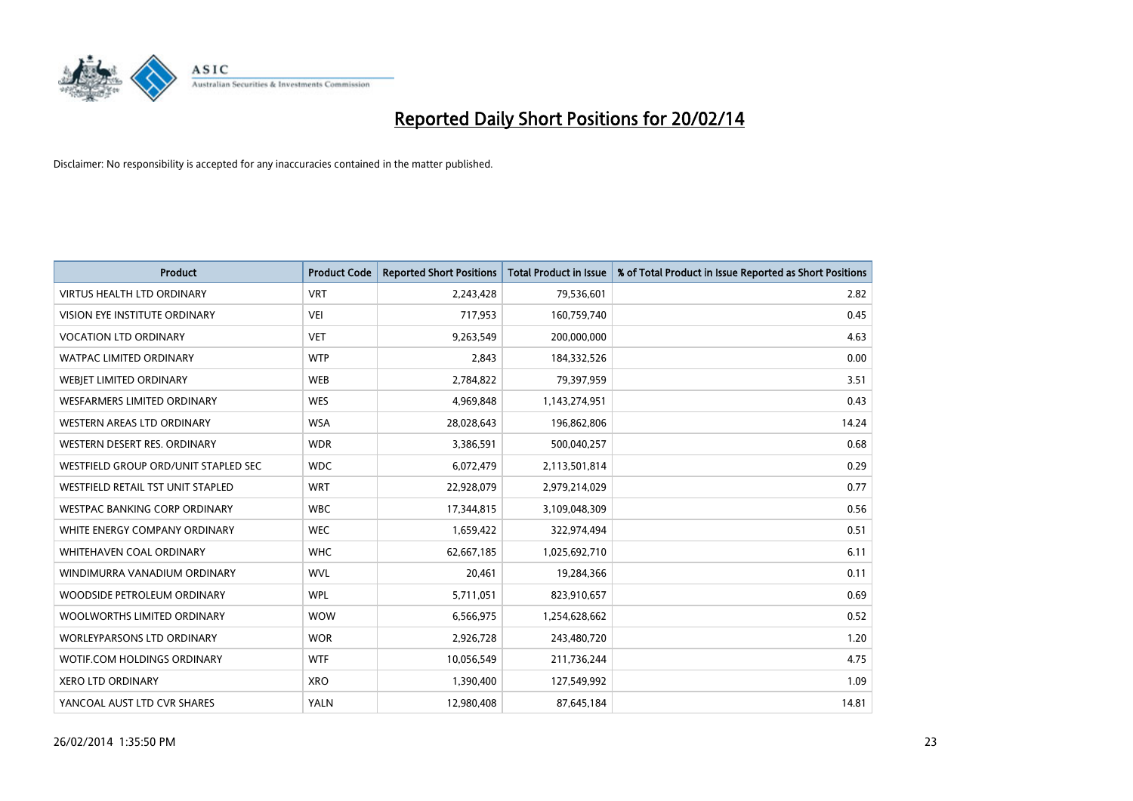

| <b>Product</b>                       | <b>Product Code</b> | <b>Reported Short Positions</b> | <b>Total Product in Issue</b> | % of Total Product in Issue Reported as Short Positions |
|--------------------------------------|---------------------|---------------------------------|-------------------------------|---------------------------------------------------------|
| <b>VIRTUS HEALTH LTD ORDINARY</b>    | <b>VRT</b>          | 2,243,428                       | 79,536,601                    | 2.82                                                    |
| VISION EYE INSTITUTE ORDINARY        | <b>VEI</b>          | 717,953                         | 160,759,740                   | 0.45                                                    |
| <b>VOCATION LTD ORDINARY</b>         | <b>VET</b>          | 9,263,549                       | 200,000,000                   | 4.63                                                    |
| WATPAC LIMITED ORDINARY              | <b>WTP</b>          | 2,843                           | 184,332,526                   | 0.00                                                    |
| WEBIET LIMITED ORDINARY              | <b>WEB</b>          | 2,784,822                       | 79,397,959                    | 3.51                                                    |
| <b>WESFARMERS LIMITED ORDINARY</b>   | <b>WES</b>          | 4,969,848                       | 1,143,274,951                 | 0.43                                                    |
| WESTERN AREAS LTD ORDINARY           | <b>WSA</b>          | 28,028,643                      | 196,862,806                   | 14.24                                                   |
| WESTERN DESERT RES. ORDINARY         | <b>WDR</b>          | 3,386,591                       | 500,040,257                   | 0.68                                                    |
| WESTFIELD GROUP ORD/UNIT STAPLED SEC | <b>WDC</b>          | 6,072,479                       | 2,113,501,814                 | 0.29                                                    |
| WESTFIELD RETAIL TST UNIT STAPLED    | <b>WRT</b>          | 22,928,079                      | 2,979,214,029                 | 0.77                                                    |
| WESTPAC BANKING CORP ORDINARY        | <b>WBC</b>          | 17,344,815                      | 3,109,048,309                 | 0.56                                                    |
| WHITE ENERGY COMPANY ORDINARY        | <b>WEC</b>          | 1,659,422                       | 322,974,494                   | 0.51                                                    |
| WHITEHAVEN COAL ORDINARY             | <b>WHC</b>          | 62,667,185                      | 1,025,692,710                 | 6.11                                                    |
| WINDIMURRA VANADIUM ORDINARY         | <b>WVL</b>          | 20,461                          | 19,284,366                    | 0.11                                                    |
| WOODSIDE PETROLEUM ORDINARY          | <b>WPL</b>          | 5,711,051                       | 823,910,657                   | 0.69                                                    |
| WOOLWORTHS LIMITED ORDINARY          | <b>WOW</b>          | 6,566,975                       | 1,254,628,662                 | 0.52                                                    |
| <b>WORLEYPARSONS LTD ORDINARY</b>    | <b>WOR</b>          | 2,926,728                       | 243,480,720                   | 1.20                                                    |
| WOTIF.COM HOLDINGS ORDINARY          | <b>WTF</b>          | 10,056,549                      | 211,736,244                   | 4.75                                                    |
| <b>XERO LTD ORDINARY</b>             | <b>XRO</b>          | 1,390,400                       | 127,549,992                   | 1.09                                                    |
| YANCOAL AUST LTD CVR SHARES          | <b>YALN</b>         | 12,980,408                      | 87,645,184                    | 14.81                                                   |